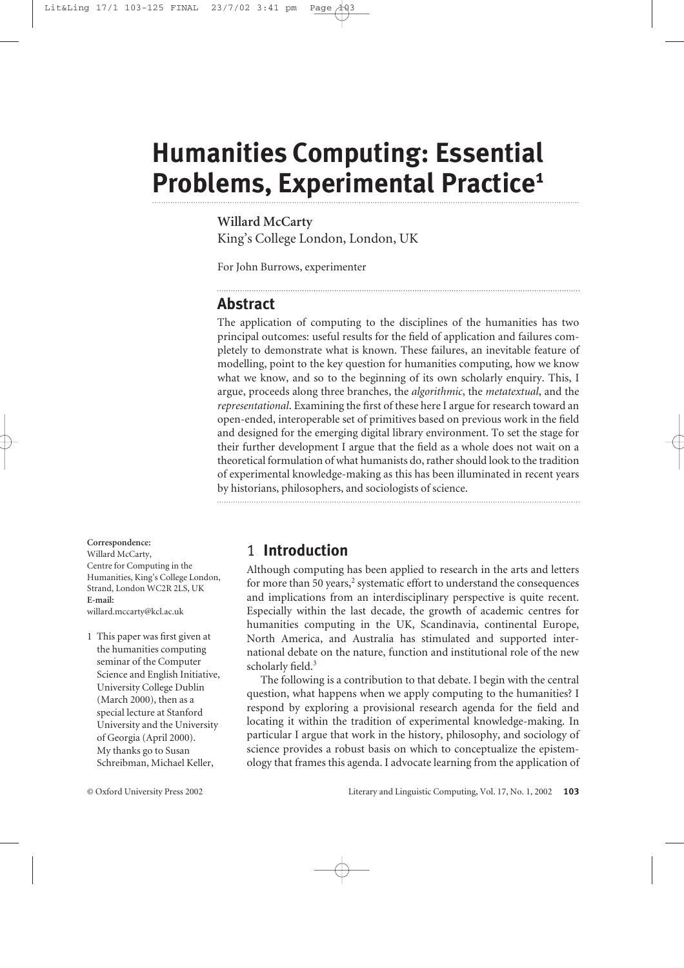# **Humanities Computing: Essential Problems, Experimental Practice1**

**Willard McCarty** King's College London, London, UK

For John Burrows, experimenter

#### **Abstract**

The application of computing to the disciplines of the humanities has two principal outcomes: useful results for the field of application and failures completely to demonstrate what is known. These failures, an inevitable feature of modelling, point to the key question for humanities computing, how we know what we know, and so to the beginning of its own scholarly enquiry. This, I argue, proceeds along three branches, the *algorithmic*, the *metatextual*, and the *representational*. Examining the first of these here I argue for research toward an open-ended, interoperable set of primitives based on previous work in the field and designed for the emerging digital library environment. To set the stage for their further development I argue that the field as a whole does not wait on a theoretical formulation of what humanists do, rather should look to the tradition of experimental knowledge-making as this has been illuminated in recent years by historians, philosophers, and sociologists of science.

#### **Correspondence:**

Willard McCarty, Centre for Computing in the Humanities, King's College London, Strand, London WC2R 2LS, UK **E-mail:** willard.mccarty@kcl.ac.uk

1 This paper was first given at the humanities computing seminar of the Computer Science and English Initiative, University College Dublin (March 2000), then as a special lecture at Stanford University and the University of Georgia (April 2000). My thanks go to Susan Schreibman, Michael Keller,

# 1 **Introduction**

Although computing has been applied to research in the arts and letters for more than 50 years,<sup>2</sup> systematic effort to understand the consequences and implications from an interdisciplinary perspective is quite recent. Especially within the last decade, the growth of academic centres for humanities computing in the UK, Scandinavia, continental Europe, North America, and Australia has stimulated and supported international debate on the nature, function and institutional role of the new scholarly field.<sup>3</sup>

The following is a contribution to that debate. I begin with the central question, what happens when we apply computing to the humanities? I respond by exploring a provisional research agenda for the field and locating it within the tradition of experimental knowledge-making. In particular I argue that work in the history, philosophy, and sociology of science provides a robust basis on which to conceptualize the epistemology that frames this agenda. I advocate learning from the application of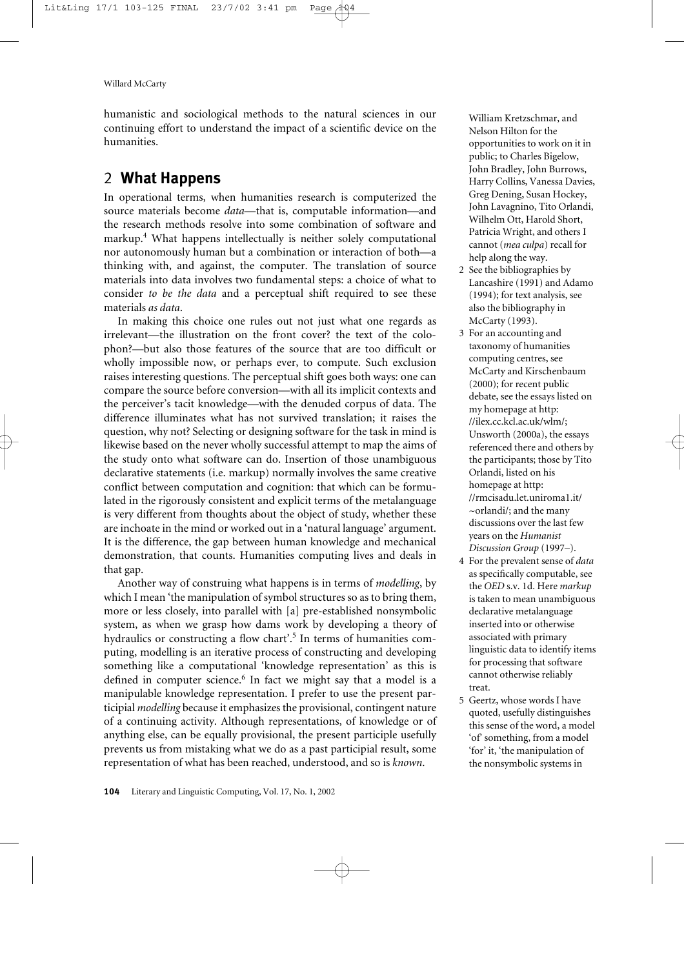humanistic and sociological methods to the natural sciences in our continuing effort to understand the impact of a scientific device on the humanities.

# 2 **What Happens**

In operational terms, when humanities research is computerized the source materials become *data*—that is, computable information—and the research methods resolve into some combination of software and markup.<sup>4</sup> What happens intellectually is neither solely computational nor autonomously human but a combination or interaction of both—a thinking with, and against, the computer. The translation of source materials into data involves two fundamental steps: a choice of what to consider *to be the data* and a perceptual shift required to see these materials *as data*.

In making this choice one rules out not just what one regards as irrelevant—the illustration on the front cover? the text of the colophon?—but also those features of the source that are too difficult or wholly impossible now, or perhaps ever, to compute. Such exclusion raises interesting questions. The perceptual shift goes both ways: one can compare the source before conversion—with all its implicit contexts and the perceiver's tacit knowledge—with the denuded corpus of data. The difference illuminates what has not survived translation; it raises the question, why not? Selecting or designing software for the task in mind is likewise based on the never wholly successful attempt to map the aims of the study onto what software can do. Insertion of those unambiguous declarative statements (i.e. markup) normally involves the same creative conflict between computation and cognition: that which can be formulated in the rigorously consistent and explicit terms of the metalanguage is very different from thoughts about the object of study, whether these are inchoate in the mind or worked out in a 'natural language' argument. It is the difference, the gap between human knowledge and mechanical demonstration, that counts. Humanities computing lives and deals in that gap.

Another way of construing what happens is in terms of *modelling*, by which I mean 'the manipulation of symbol structures so as to bring them, more or less closely, into parallel with [a] pre-established nonsymbolic system, as when we grasp how dams work by developing a theory of hydraulics or constructing a flow chart'.<sup>5</sup> In terms of humanities computing, modelling is an iterative process of constructing and developing something like a computational 'knowledge representation' as this is defined in computer science.<sup>6</sup> In fact we might say that a model is a manipulable knowledge representation. I prefer to use the present participial *modelling* because it emphasizes the provisional, contingent nature of a continuing activity. Although representations, of knowledge or of anything else, can be equally provisional, the present participle usefully prevents us from mistaking what we do as a past participial result, some representation of what has been reached, understood, and so is *known*.

William Kretzschmar, and Nelson Hilton for the opportunities to work on it in public; to Charles Bigelow, John Bradley, John Burrows, Harry Collins, Vanessa Davies, Greg Dening, Susan Hockey, John Lavagnino, Tito Orlandi, Wilhelm Ott, Harold Short, Patricia Wright, and others I cannot (*mea culpa*) recall for help along the way.

- 2 See the bibliographies by Lancashire (1991) and Adamo (1994); for text analysis, see also the bibliography in McCarty (1993).
- 3 For an accounting and taxonomy of humanities computing centres, see McCarty and Kirschenbaum (2000); for recent public debate, see the essays listed on my homepage at http: //ilex.cc.kcl.ac.uk/wlm/; Unsworth (2000a), the essays referenced there and others by the participants; those by Tito Orlandi, listed on his homepage at http: //rmcisadu.let.uniroma1.it/ ~orlandi/; and the many discussions over the last few years on the *Humanist Discussion Group* (1997–).
- 4 For the prevalent sense of *data* as specifically computable, see the *OED* s.v. 1d. Here *markup* is taken to mean unambiguous declarative metalanguage inserted into or otherwise associated with primary linguistic data to identify items for processing that software cannot otherwise reliably treat.
- 5 Geertz, whose words I have quoted, usefully distinguishes this sense of the word, a model 'of' something, from a model 'for' it, 'the manipulation of the nonsymbolic systems in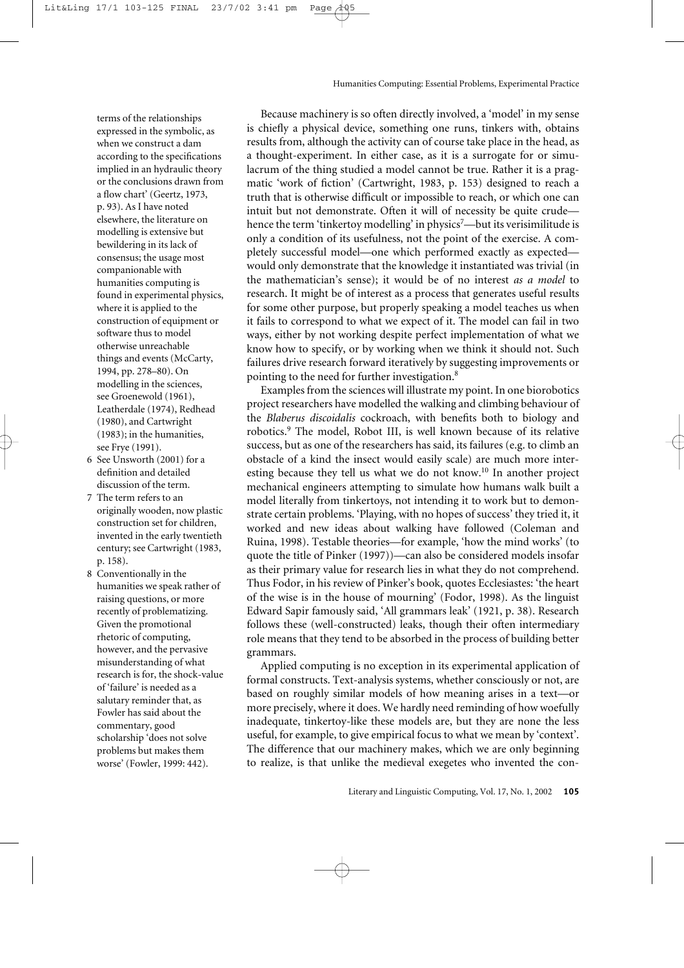terms of the relationships expressed in the symbolic, as when we construct a dam according to the specifications implied in an hydraulic theory or the conclusions drawn from a flow chart' (Geertz, 1973, p. 93). As I have noted elsewhere, the literature on modelling is extensive but bewildering in its lack of consensus; the usage most companionable with humanities computing is found in experimental physics, where it is applied to the construction of equipment or software thus to model otherwise unreachable things and events (McCarty, 1994, pp. 278–80). On modelling in the sciences, see Groenewold (1961), Leatherdale (1974), Redhead (1980), and Cartwright (1983); in the humanities, see Frye (1991).

- 6 See Unsworth (2001) for a definition and detailed discussion of the term.
- 7 The term refers to an originally wooden, now plastic construction set for children, invented in the early twentieth century; see Cartwright (1983, p. 158).
- 8 Conventionally in the humanities we speak rather of raising questions, or more recently of problematizing. Given the promotional rhetoric of computing, however, and the pervasive misunderstanding of what research is for, the shock-value of 'failure' is needed as a salutary reminder that, as Fowler has said about the commentary, good scholarship 'does not solve problems but makes them worse' (Fowler, 1999: 442).

Because machinery is so often directly involved, a 'model' in my sense is chiefly a physical device, something one runs, tinkers with, obtains results from, although the activity can of course take place in the head, as a thought-experiment. In either case, as it is a surrogate for or simulacrum of the thing studied a model cannot be true. Rather it is a pragmatic 'work of fiction' (Cartwright, 1983, p. 153) designed to reach a truth that is otherwise difficult or impossible to reach, or which one can intuit but not demonstrate. Often it will of necessity be quite crude hence the term 'tinkertoy modelling' in physics<sup>7</sup>—but its verisimilitude is only a condition of its usefulness, not the point of the exercise. A completely successful model—one which performed exactly as expected would only demonstrate that the knowledge it instantiated was trivial (in the mathematician's sense); it would be of no interest *as a model* to research. It might be of interest as a process that generates useful results for some other purpose, but properly speaking a model teaches us when it fails to correspond to what we expect of it. The model can fail in two ways, either by not working despite perfect implementation of what we know how to specify, or by working when we think it should not. Such failures drive research forward iteratively by suggesting improvements or pointing to the need for further investigation.8

Examples from the sciences will illustrate my point. In one biorobotics project researchers have modelled the walking and climbing behaviour of the *Blaberus discoidalis* cockroach, with benefits both to biology and robotics.9 The model, Robot III, is well known because of its relative success, but as one of the researchers has said, its failures (e.g. to climb an obstacle of a kind the insect would easily scale) are much more interesting because they tell us what we do not know.<sup>10</sup> In another project mechanical engineers attempting to simulate how humans walk built a model literally from tinkertoys, not intending it to work but to demonstrate certain problems. 'Playing, with no hopes of success' they tried it, it worked and new ideas about walking have followed (Coleman and Ruina, 1998). Testable theories—for example, 'how the mind works' (to quote the title of Pinker (1997))—can also be considered models insofar as their primary value for research lies in what they do not comprehend. Thus Fodor, in his review of Pinker's book, quotes Ecclesiastes: 'the heart of the wise is in the house of mourning' (Fodor, 1998). As the linguist Edward Sapir famously said, 'All grammars leak' (1921, p. 38). Research follows these (well-constructed) leaks, though their often intermediary role means that they tend to be absorbed in the process of building better grammars.

Applied computing is no exception in its experimental application of formal constructs. Text-analysis systems, whether consciously or not, are based on roughly similar models of how meaning arises in a text—or more precisely, where it does. We hardly need reminding of how woefully inadequate, tinkertoy-like these models are, but they are none the less useful, for example, to give empirical focus to what we mean by 'context'. The difference that our machinery makes, which we are only beginning to realize, is that unlike the medieval exegetes who invented the con-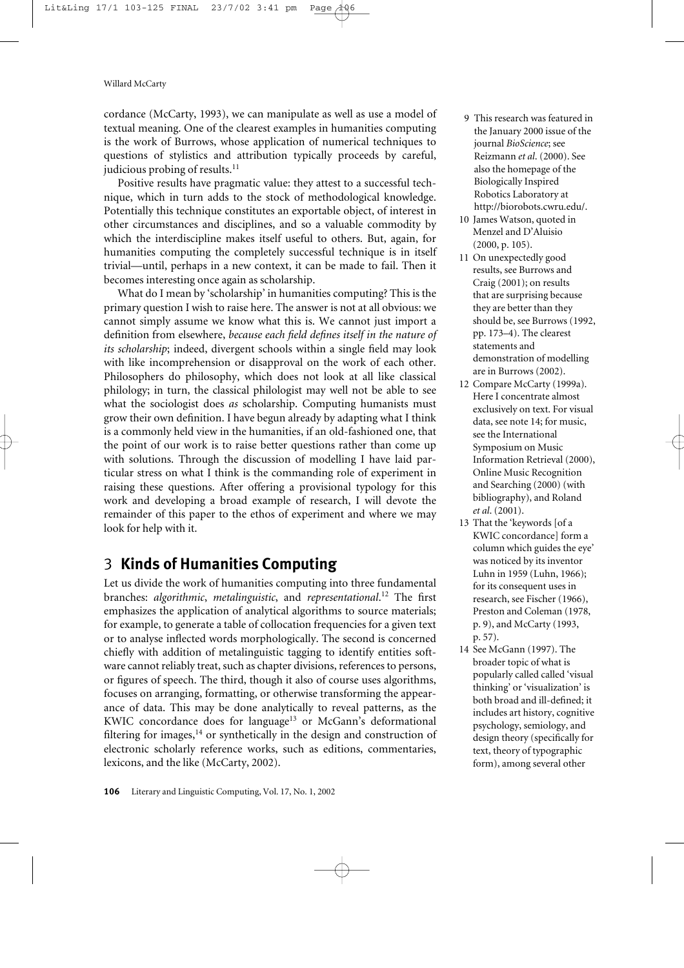cordance (McCarty, 1993), we can manipulate as well as use a model of textual meaning. One of the clearest examples in humanities computing is the work of Burrows, whose application of numerical techniques to questions of stylistics and attribution typically proceeds by careful, judicious probing of results.<sup>11</sup>

Positive results have pragmatic value: they attest to a successful technique, which in turn adds to the stock of methodological knowledge. Potentially this technique constitutes an exportable object, of interest in other circumstances and disciplines, and so a valuable commodity by which the interdiscipline makes itself useful to others. But, again, for humanities computing the completely successful technique is in itself trivial—until, perhaps in a new context, it can be made to fail. Then it becomes interesting once again as scholarship.

What do I mean by 'scholarship' in humanities computing? This is the primary question I wish to raise here. The answer is not at all obvious: we cannot simply assume we know what this is. We cannot just import a definition from elsewhere, *because each field defines itself in the nature of its scholarship*; indeed, divergent schools within a single field may look with like incomprehension or disapproval on the work of each other. Philosophers do philosophy, which does not look at all like classical philology; in turn, the classical philologist may well not be able to see what the sociologist does *as* scholarship. Computing humanists must grow their own definition. I have begun already by adapting what I think is a commonly held view in the humanities, if an old-fashioned one, that the point of our work is to raise better questions rather than come up with solutions. Through the discussion of modelling I have laid particular stress on what I think is the commanding role of experiment in raising these questions. After offering a provisional typology for this work and developing a broad example of research, I will devote the remainder of this paper to the ethos of experiment and where we may look for help with it.

# 3 **Kinds of Humanities Computing**

Let us divide the work of humanities computing into three fundamental branches: *algorithmic*, *metalinguistic*, and *representational*. <sup>12</sup> The first emphasizes the application of analytical algorithms to source materials; for example, to generate a table of collocation frequencies for a given text or to analyse inflected words morphologically. The second is concerned chiefly with addition of metalinguistic tagging to identify entities software cannot reliably treat, such as chapter divisions, references to persons, or figures of speech. The third, though it also of course uses algorithms, focuses on arranging, formatting, or otherwise transforming the appearance of data. This may be done analytically to reveal patterns, as the KWIC concordance does for language<sup>13</sup> or McGann's deformational filtering for images, $14$  or synthetically in the design and construction of electronic scholarly reference works, such as editions, commentaries, lexicons, and the like (McCarty, 2002).

- 9 This research was featured in the January 2000 issue of the journal *BioScience*; see Reizmann *et al*. (2000). See also the homepage of the Biologically Inspired Robotics Laboratory at [http://biorobots.cwru.edu/.](http://biorobots.cwru.edu/)
- 10 James Watson, quoted in Menzel and D'Aluisio (2000, p. 105).
- 11 On unexpectedly good results, see Burrows and Craig (2001); on results that are surprising because they are better than they should be, see Burrows (1992, pp. 173–4). The clearest statements and demonstration of modelling are in Burrows (2002).
- 12 Compare McCarty (1999a). Here I concentrate almost exclusively on text. For visual data, see note 14; for music, see the International Symposium on Music Information Retrieval (2000), Online Music Recognition and Searching (2000) (with bibliography), and Roland *et al*. (2001).
- 13 That the 'keywords [of a KWIC concordance] form a column which guides the eye' was noticed by its inventor Luhn in 1959 (Luhn, 1966); for its consequent uses in research, see Fischer (1966), Preston and Coleman (1978, p. 9), and McCarty (1993, p. 57).
- 14 See McGann (1997). The broader topic of what is popularly called called 'visual thinking' or 'visualization' is both broad and ill-defined; it includes art history, cognitive psychology, semiology, and design theory (specifically for text, theory of typographic form), among several other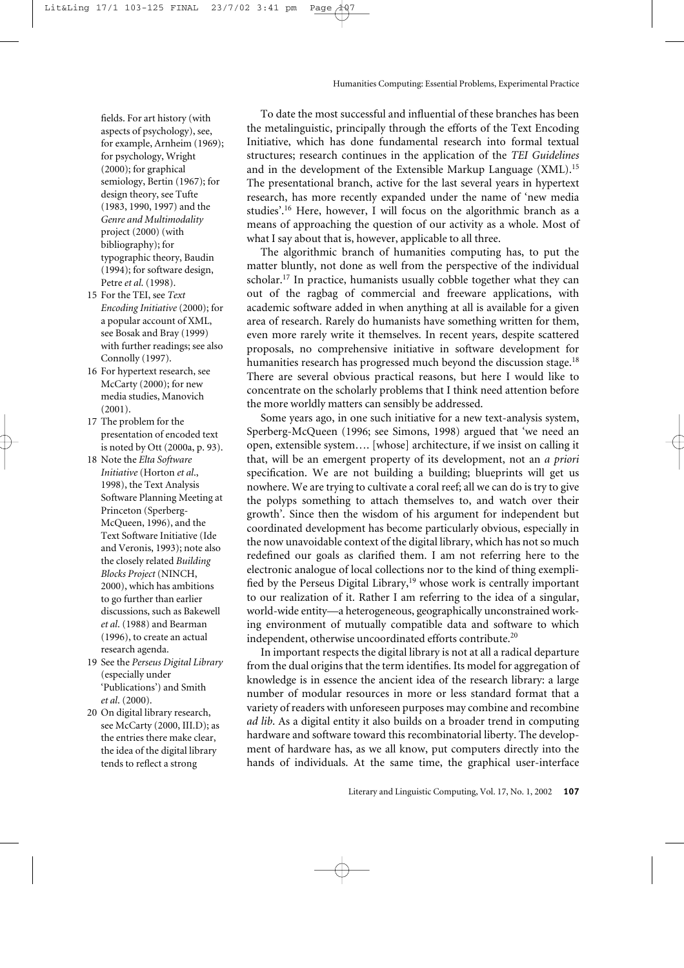fields. For art history (with aspects of psychology), see, for example, Arnheim (1969); for psychology, Wright (2000); for graphical semiology, Bertin (1967); for design theory, see Tufte (1983, 1990, 1997) and the *Genre and Multimodality* project (2000) (with bibliography); for typographic theory, Baudin (1994); for software design, Petre *et al*. (1998).

- 15 For the TEI, see *Text Encoding Initiative* (2000); for a popular account of XML, see Bosak and Bray (1999) with further readings; see also Connolly (1997).
- 16 For hypertext research, see McCarty (2000); for new media studies, Manovich  $(2001)$ .
- 17 The problem for the presentation of encoded text is noted by Ott (2000a, p. 93).
- 18 Note the *Elta Software Initiative* (Horton *et al*., 1998), the Text Analysis Software Planning Meeting at Princeton (Sperberg-McQueen, 1996), and the Text Software Initiative (Ide and Veronis, 1993); note also the closely related *Building Blocks Project* (NINCH, 2000), which has ambitions to go further than earlier discussions, such as Bakewell *et al*. (1988) and Bearman (1996), to create an actual research agenda.
- 19 See the *Perseus Digital Library* (especially under 'Publications') and Smith *et al*. (2000).
- 20 On digital library research, see McCarty (2000, III.D); as the entries there make clear, the idea of the digital library tends to reflect a strong

To date the most successful and influential of these branches has been the metalinguistic, principally through the efforts of the Text Encoding Initiative, which has done fundamental research into formal textual structures; research continues in the application of the *TEI Guidelines* and in the development of the Extensible Markup Language (XML).15 The presentational branch, active for the last several years in hypertext research, has more recently expanded under the name of 'new media studies'.16 Here, however, I will focus on the algorithmic branch as a means of approaching the question of our activity as a whole. Most of what I say about that is, however, applicable to all three.

The algorithmic branch of humanities computing has, to put the matter bluntly, not done as well from the perspective of the individual scholar.17 In practice, humanists usually cobble together what they can out of the ragbag of commercial and freeware applications, with academic software added in when anything at all is available for a given area of research. Rarely do humanists have something written for them, even more rarely write it themselves. In recent years, despite scattered proposals, no comprehensive initiative in software development for humanities research has progressed much beyond the discussion stage.<sup>18</sup> There are several obvious practical reasons, but here I would like to concentrate on the scholarly problems that I think need attention before the more worldly matters can sensibly be addressed.

Some years ago, in one such initiative for a new text-analysis system, Sperberg-McQueen (1996; see Simons, 1998) argued that 'we need an open, extensible system…. [whose] architecture, if we insist on calling it that, will be an emergent property of its development, not an *a priori* specification. We are not building a building; blueprints will get us nowhere. We are trying to cultivate a coral reef; all we can do is try to give the polyps something to attach themselves to, and watch over their growth'. Since then the wisdom of his argument for independent but coordinated development has become particularly obvious, especially in the now unavoidable context of the digital library, which has not so much redefined our goals as clarified them. I am not referring here to the electronic analogue of local collections nor to the kind of thing exemplified by the Perseus Digital Library,<sup>19</sup> whose work is centrally important to our realization of it. Rather I am referring to the idea of a singular, world-wide entity—a heterogeneous, geographically unconstrained working environment of mutually compatible data and software to which independent, otherwise uncoordinated efforts contribute.<sup>20</sup>

In important respects the digital library is not at all a radical departure from the dual origins that the term identifies. Its model for aggregation of knowledge is in essence the ancient idea of the research library: a large number of modular resources in more or less standard format that a variety of readers with unforeseen purposes may combine and recombine *ad lib*. As a digital entity it also builds on a broader trend in computing hardware and software toward this recombinatorial liberty. The development of hardware has, as we all know, put computers directly into the hands of individuals. At the same time, the graphical user-interface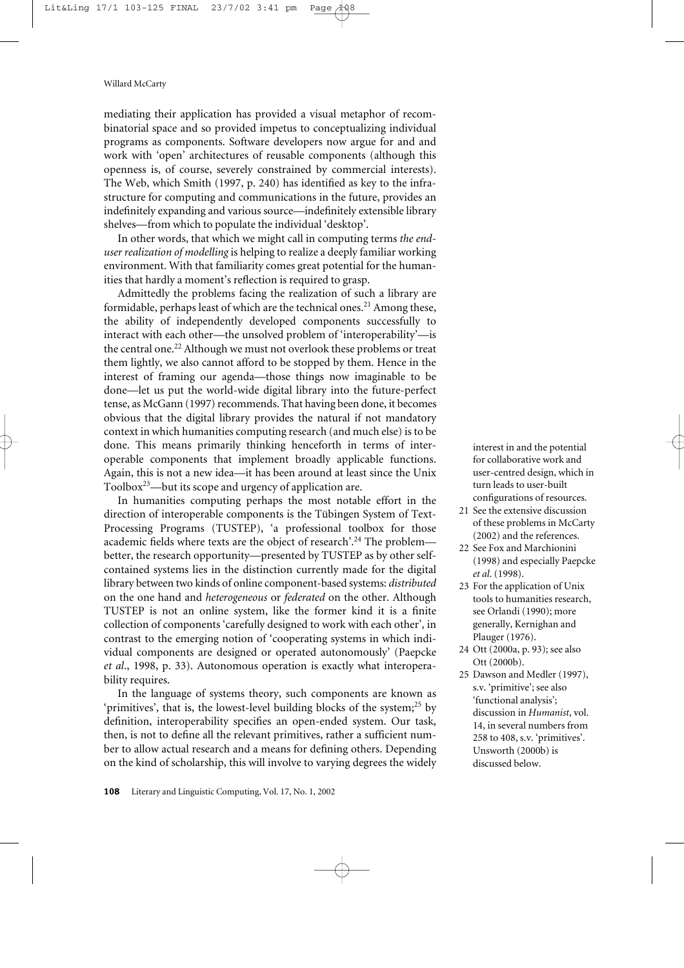mediating their application has provided a visual metaphor of recombinatorial space and so provided impetus to conceptualizing individual programs as components. Software developers now argue for and and work with 'open' architectures of reusable components (although this openness is, of course, severely constrained by commercial interests). The Web, which Smith (1997, p. 240) has identified as key to the infrastructure for computing and communications in the future, provides an indefinitely expanding and various source—indefinitely extensible library shelves—from which to populate the individual 'desktop'.

In other words, that which we might call in computing terms *the enduser realization of modelling* is helping to realize a deeply familiar working environment. With that familiarity comes great potential for the humanities that hardly a moment's reflection is required to grasp.

Admittedly the problems facing the realization of such a library are formidable, perhaps least of which are the technical ones.<sup>21</sup> Among these, the ability of independently developed components successfully to interact with each other—the unsolved problem of 'interoperability'—is the central one.<sup>22</sup> Although we must not overlook these problems or treat them lightly, we also cannot afford to be stopped by them. Hence in the interest of framing our agenda—those things now imaginable to be done—let us put the world-wide digital library into the future-perfect tense, as McGann (1997) recommends. That having been done, it becomes obvious that the digital library provides the natural if not mandatory context in which humanities computing research (and much else) is to be done. This means primarily thinking henceforth in terms of interoperable components that implement broadly applicable functions. Again, this is not a new idea—it has been around at least since the Unix Toolbox $23$ —but its scope and urgency of application are.

In humanities computing perhaps the most notable effort in the direction of interoperable components is the Tübingen System of Text-Processing Programs (TUSTEP), 'a professional toolbox for those academic fields where texts are the object of research'.<sup>24</sup> The problem better, the research opportunity—presented by TUSTEP as by other selfcontained systems lies in the distinction currently made for the digital library between two kinds of online component-based systems: *distributed* on the one hand and *heterogeneous* or *federated* on the other. Although TUSTEP is not an online system, like the former kind it is a finite collection of components 'carefully designed to work with each other', in contrast to the emerging notion of 'cooperating systems in which individual components are designed or operated autonomously' (Paepcke *et al*., 1998, p. 33). Autonomous operation is exactly what interoperability requires.

In the language of systems theory, such components are known as 'primitives', that is, the lowest-level building blocks of the system;<sup>25</sup> by definition, interoperability specifies an open-ended system. Our task, then, is not to define all the relevant primitives, rather a sufficient number to allow actual research and a means for defining others. Depending on the kind of scholarship, this will involve to varying degrees the widely interest in and the potential for collaborative work and user-centred design, which in turn leads to user-built configurations of resources.

- 21 See the extensive discussion of these problems in McCarty (2002) and the references.
- 22 See Fox and Marchionini (1998) and especially Paepcke *et al*. (1998).
- 23 For the application of Unix tools to humanities research, see Orlandi (1990); more generally, Kernighan and Plauger (1976).
- 24 Ott (2000a, p. 93); see also Ott (2000b).
- 25 Dawson and Medler (1997), s.v. 'primitive'; see also 'functional analysis'; discussion in *Humanist*, vol. 14, in several numbers from 258 to 408, s.v. 'primitives'. Unsworth (2000b) is discussed below.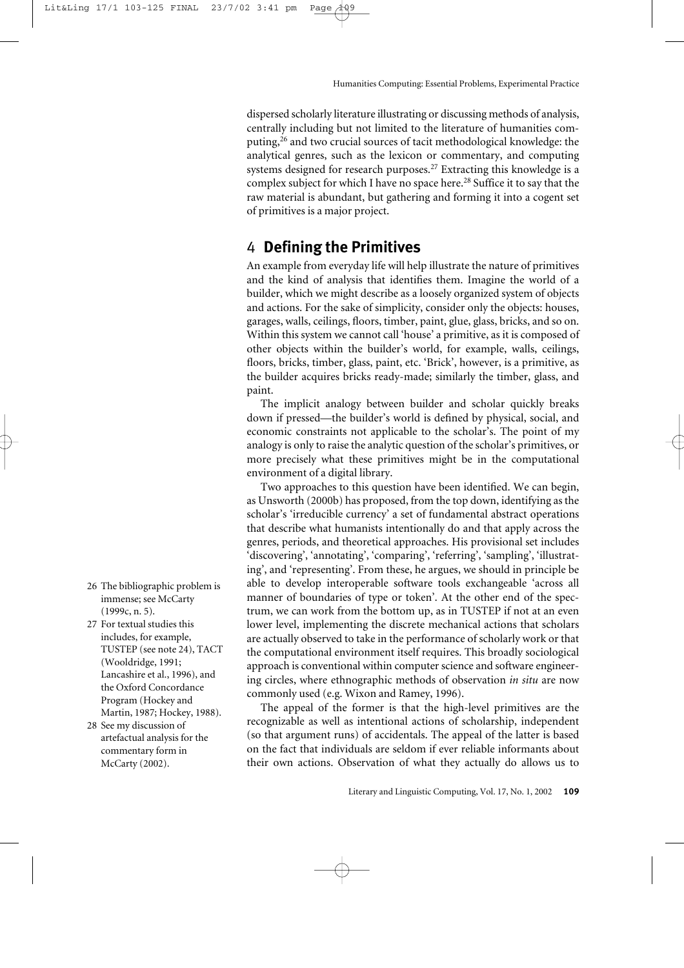dispersed scholarly literature illustrating or discussing methods of analysis, centrally including but not limited to the literature of humanities computing,<sup>26</sup> and two crucial sources of tacit methodological knowledge: the analytical genres, such as the lexicon or commentary, and computing systems designed for research purposes.<sup>27</sup> Extracting this knowledge is a complex subject for which I have no space here.<sup>28</sup> Suffice it to say that the raw material is abundant, but gathering and forming it into a cogent set of primitives is a major project.

# 4 **Defining the Primitives**

An example from everyday life will help illustrate the nature of primitives and the kind of analysis that identifies them. Imagine the world of a builder, which we might describe as a loosely organized system of objects and actions. For the sake of simplicity, consider only the objects: houses, garages, walls, ceilings, floors, timber, paint, glue, glass, bricks, and so on. Within this system we cannot call 'house' a primitive, as it is composed of other objects within the builder's world, for example, walls, ceilings, floors, bricks, timber, glass, paint, etc. 'Brick', however, is a primitive, as the builder acquires bricks ready-made; similarly the timber, glass, and paint.

The implicit analogy between builder and scholar quickly breaks down if pressed—the builder's world is defined by physical, social, and economic constraints not applicable to the scholar's. The point of my analogy is only to raise the analytic question of the scholar's primitives, or more precisely what these primitives might be in the computational environment of a digital library.

Two approaches to this question have been identified. We can begin, as Unsworth (2000b) has proposed, from the top down, identifying as the scholar's 'irreducible currency' a set of fundamental abstract operations that describe what humanists intentionally do and that apply across the genres, periods, and theoretical approaches. His provisional set includes 'discovering', 'annotating', 'comparing', 'referring', 'sampling', 'illustrating', and 'representing'. From these, he argues, we should in principle be able to develop interoperable software tools exchangeable 'across all manner of boundaries of type or token'. At the other end of the spectrum, we can work from the bottom up, as in TUSTEP if not at an even lower level, implementing the discrete mechanical actions that scholars are actually observed to take in the performance of scholarly work or that the computational environment itself requires. This broadly sociological approach is conventional within computer science and software engineering circles, where ethnographic methods of observation *in situ* are now commonly used (e.g. Wixon and Ramey, 1996).

The appeal of the former is that the high-level primitives are the recognizable as well as intentional actions of scholarship, independent (so that argument runs) of accidentals. The appeal of the latter is based on the fact that individuals are seldom if ever reliable informants about their own actions. Observation of what they actually do allows us to

- 26 The bibliographic problem is immense; see McCarty (1999c, n. 5).
- 27 For textual studies this includes, for example, TUSTEP (see note 24), TACT (Wooldridge, 1991; Lancashire et al., 1996), and the Oxford Concordance Program (Hockey and Martin, 1987; Hockey, 1988).
- 28 See my discussion of artefactual analysis for the commentary form in McCarty (2002).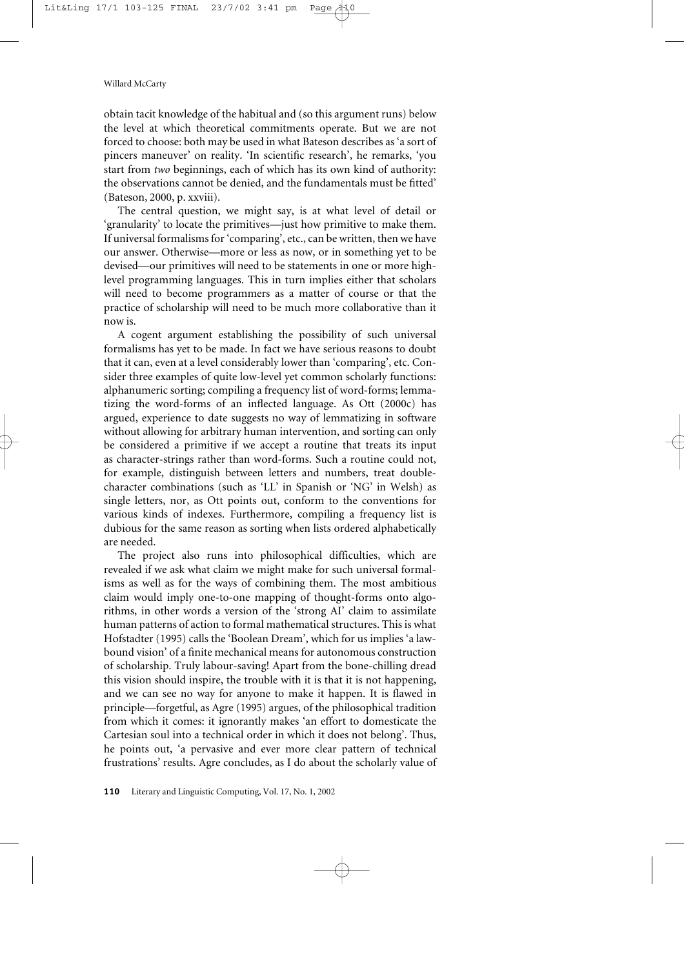obtain tacit knowledge of the habitual and (so this argument runs) below the level at which theoretical commitments operate. But we are not forced to choose: both may be used in what Bateson describes as 'a sort of pincers maneuver' on reality. 'In scientific research', he remarks, 'you start from *two* beginnings, each of which has its own kind of authority: the observations cannot be denied, and the fundamentals must be fitted' (Bateson, 2000, p. xxviii).

The central question, we might say, is at what level of detail or 'granularity' to locate the primitives—just how primitive to make them. If universal formalisms for 'comparing', etc., can be written, then we have our answer. Otherwise—more or less as now, or in something yet to be devised—our primitives will need to be statements in one or more highlevel programming languages. This in turn implies either that scholars will need to become programmers as a matter of course or that the practice of scholarship will need to be much more collaborative than it now is.

A cogent argument establishing the possibility of such universal formalisms has yet to be made. In fact we have serious reasons to doubt that it can, even at a level considerably lower than 'comparing', etc. Consider three examples of quite low-level yet common scholarly functions: alphanumeric sorting; compiling a frequency list of word-forms; lemmatizing the word-forms of an inflected language. As Ott (2000c) has argued, experience to date suggests no way of lemmatizing in software without allowing for arbitrary human intervention, and sorting can only be considered a primitive if we accept a routine that treats its input as character-strings rather than word-forms. Such a routine could not, for example, distinguish between letters and numbers, treat doublecharacter combinations (such as 'LL' in Spanish or 'NG' in Welsh) as single letters, nor, as Ott points out, conform to the conventions for various kinds of indexes. Furthermore, compiling a frequency list is dubious for the same reason as sorting when lists ordered alphabetically are needed.

The project also runs into philosophical difficulties, which are revealed if we ask what claim we might make for such universal formalisms as well as for the ways of combining them. The most ambitious claim would imply one-to-one mapping of thought-forms onto algorithms, in other words a version of the 'strong AI' claim to assimilate human patterns of action to formal mathematical structures. This is what Hofstadter (1995) calls the 'Boolean Dream', which for us implies 'a lawbound vision' of a finite mechanical means for autonomous construction of scholarship. Truly labour-saving! Apart from the bone-chilling dread this vision should inspire, the trouble with it is that it is not happening, and we can see no way for anyone to make it happen. It is flawed in principle—forgetful, as Agre (1995) argues, of the philosophical tradition from which it comes: it ignorantly makes 'an effort to domesticate the Cartesian soul into a technical order in which it does not belong'. Thus, he points out, 'a pervasive and ever more clear pattern of technical frustrations' results. Agre concludes, as I do about the scholarly value of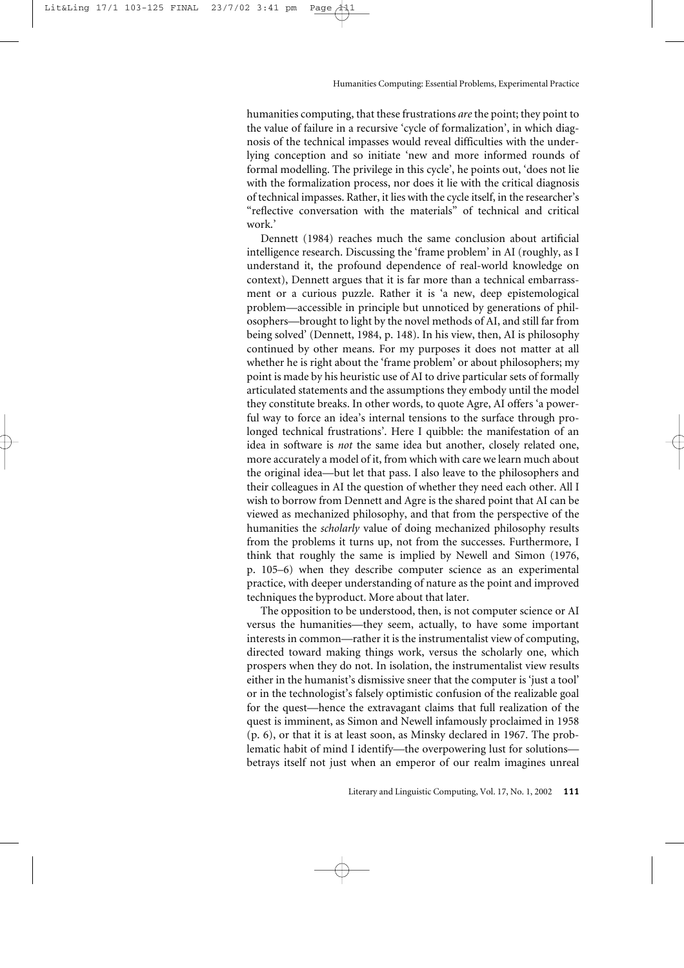humanities computing, that these frustrations *are*the point; they point to the value of failure in a recursive 'cycle of formalization', in which diagnosis of the technical impasses would reveal difficulties with the underlying conception and so initiate 'new and more informed rounds of formal modelling. The privilege in this cycle', he points out, 'does not lie with the formalization process, nor does it lie with the critical diagnosis of technical impasses. Rather, it lies with the cycle itself, in the researcher's "reflective conversation with the materials" of technical and critical work.'

Dennett (1984) reaches much the same conclusion about artificial intelligence research. Discussing the 'frame problem' in AI (roughly, as I understand it, the profound dependence of real-world knowledge on context), Dennett argues that it is far more than a technical embarrassment or a curious puzzle. Rather it is 'a new, deep epistemological problem—accessible in principle but unnoticed by generations of philosophers—brought to light by the novel methods of AI, and still far from being solved' (Dennett, 1984, p. 148). In his view, then, AI is philosophy continued by other means. For my purposes it does not matter at all whether he is right about the 'frame problem' or about philosophers; my point is made by his heuristic use of AI to drive particular sets of formally articulated statements and the assumptions they embody until the model they constitute breaks. In other words, to quote Agre, AI offers 'a powerful way to force an idea's internal tensions to the surface through prolonged technical frustrations'. Here I quibble: the manifestation of an idea in software is *not* the same idea but another, closely related one, more accurately a model of it, from which with care we learn much about the original idea—but let that pass. I also leave to the philosophers and their colleagues in AI the question of whether they need each other. All I wish to borrow from Dennett and Agre is the shared point that AI can be viewed as mechanized philosophy, and that from the perspective of the humanities the *scholarly* value of doing mechanized philosophy results from the problems it turns up, not from the successes. Furthermore, I think that roughly the same is implied by Newell and Simon (1976, p. 105–6) when they describe computer science as an experimental practice, with deeper understanding of nature as the point and improved techniques the byproduct. More about that later.

The opposition to be understood, then, is not computer science or AI versus the humanities—they seem, actually, to have some important interests in common—rather it is the instrumentalist view of computing, directed toward making things work, versus the scholarly one, which prospers when they do not. In isolation, the instrumentalist view results either in the humanist's dismissive sneer that the computer is 'just a tool' or in the technologist's falsely optimistic confusion of the realizable goal for the quest—hence the extravagant claims that full realization of the quest is imminent, as Simon and Newell infamously proclaimed in 1958 (p. 6), or that it is at least soon, as Minsky declared in 1967. The problematic habit of mind I identify—the overpowering lust for solutions betrays itself not just when an emperor of our realm imagines unreal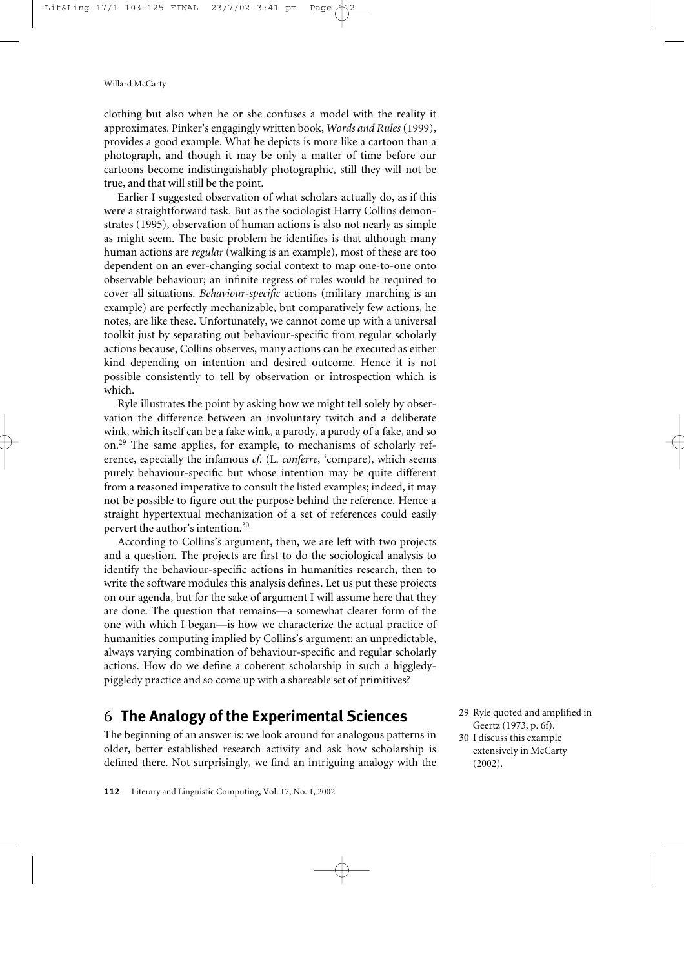clothing but also when he or she confuses a model with the reality it approximates. Pinker's engagingly written book, *Words and Rules* (1999), provides a good example. What he depicts is more like a cartoon than a photograph, and though it may be only a matter of time before our cartoons become indistinguishably photographic, still they will not be true, and that will still be the point.

Earlier I suggested observation of what scholars actually do, as if this were a straightforward task. But as the sociologist Harry Collins demonstrates (1995), observation of human actions is also not nearly as simple as might seem. The basic problem he identifies is that although many human actions are *regular* (walking is an example), most of these are too dependent on an ever-changing social context to map one-to-one onto observable behaviour; an infinite regress of rules would be required to cover all situations. *Behaviour-specific* actions (military marching is an example) are perfectly mechanizable, but comparatively few actions, he notes, are like these. Unfortunately, we cannot come up with a universal toolkit just by separating out behaviour-specific from regular scholarly actions because, Collins observes, many actions can be executed as either kind depending on intention and desired outcome. Hence it is not possible consistently to tell by observation or introspection which is which.

Ryle illustrates the point by asking how we might tell solely by observation the difference between an involuntary twitch and a deliberate wink, which itself can be a fake wink, a parody, a parody of a fake, and so on.<sup>29</sup> The same applies, for example, to mechanisms of scholarly reference, especially the infamous *cf*. (L. *conferre*, 'compare), which seems purely behaviour-specific but whose intention may be quite different from a reasoned imperative to consult the listed examples; indeed, it may not be possible to figure out the purpose behind the reference. Hence a straight hypertextual mechanization of a set of references could easily pervert the author's intention.<sup>30</sup>

According to Collins's argument, then, we are left with two projects and a question. The projects are first to do the sociological analysis to identify the behaviour-specific actions in humanities research, then to write the software modules this analysis defines. Let us put these projects on our agenda, but for the sake of argument I will assume here that they are done. The question that remains—a somewhat clearer form of the one with which I began—is how we characterize the actual practice of humanities computing implied by Collins's argument: an unpredictable, always varying combination of behaviour-specific and regular scholarly actions. How do we define a coherent scholarship in such a higgledypiggledy practice and so come up with a shareable set of primitives?

# 6 **The Analogy of the Experimental Sciences**

The beginning of an answer is: we look around for analogous patterns in older, better established research activity and ask how scholarship is defined there. Not surprisingly, we find an intriguing analogy with the

30 I discuss this example extensively in McCarty (2002).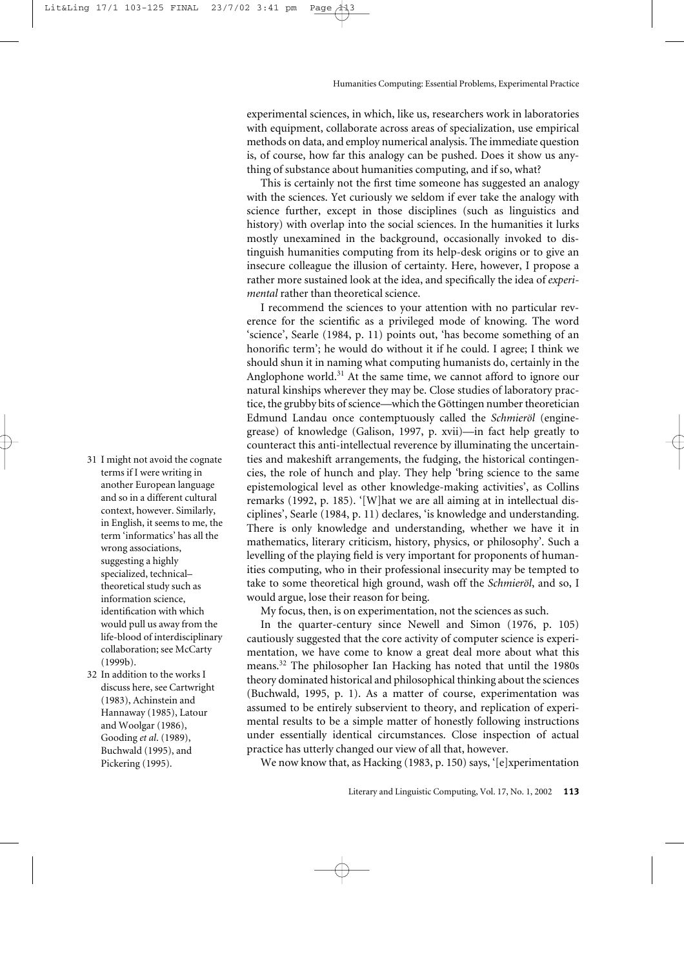experimental sciences, in which, like us, researchers work in laboratories with equipment, collaborate across areas of specialization, use empirical methods on data, and employ numerical analysis. The immediate question is, of course, how far this analogy can be pushed. Does it show us anything of substance about humanities computing, and if so, what?

This is certainly not the first time someone has suggested an analogy with the sciences. Yet curiously we seldom if ever take the analogy with science further, except in those disciplines (such as linguistics and history) with overlap into the social sciences. In the humanities it lurks mostly unexamined in the background, occasionally invoked to distinguish humanities computing from its help-desk origins or to give an insecure colleague the illusion of certainty. Here, however, I propose a rather more sustained look at the idea, and specifically the idea of *experimental* rather than theoretical science.

I recommend the sciences to your attention with no particular reverence for the scientific as a privileged mode of knowing. The word 'science', Searle (1984, p. 11) points out, 'has become something of an honorific term'; he would do without it if he could. I agree; I think we should shun it in naming what computing humanists do, certainly in the Anglophone world.<sup>31</sup> At the same time, we cannot afford to ignore our natural kinships wherever they may be. Close studies of laboratory practice, the grubby bits of science—which the Göttingen number theoretician Edmund Landau once contemptuously called the *Schmieröl* (enginegrease) of knowledge (Galison, 1997, p. xvii)—in fact help greatly to counteract this anti-intellectual reverence by illuminating the uncertainties and makeshift arrangements, the fudging, the historical contingencies, the role of hunch and play. They help 'bring science to the same epistemological level as other knowledge-making activities', as Collins remarks (1992, p. 185). '[W]hat we are all aiming at in intellectual disciplines', Searle (1984, p. 11) declares, 'is knowledge and understanding. There is only knowledge and understanding, whether we have it in mathematics, literary criticism, history, physics, or philosophy'. Such a levelling of the playing field is very important for proponents of humanities computing, who in their professional insecurity may be tempted to take to some theoretical high ground, wash off the *Schmieröl*, and so, I would argue, lose their reason for being.

My focus, then, is on experimentation, not the sciences as such.

In the quarter-century since Newell and Simon (1976, p. 105) cautiously suggested that the core activity of computer science is experimentation, we have come to know a great deal more about what this means.32 The philosopher Ian Hacking has noted that until the 1980s theory dominated historical and philosophical thinking about the sciences (Buchwald, 1995, p. 1). As a matter of course, experimentation was assumed to be entirely subservient to theory, and replication of experimental results to be a simple matter of honestly following instructions under essentially identical circumstances. Close inspection of actual practice has utterly changed our view of all that, however.

We now know that, as Hacking (1983, p. 150) says, '[e]xperimentation

- 31 I might not avoid the cognate terms if I were writing in another European language and so in a different cultural context, however. Similarly, in English, it seems to me, the term 'informatics' has all the wrong associations, suggesting a highly specialized, technical– theoretical study such as information science, identification with which would pull us away from the life-blood of interdisciplinary collaboration; see McCarty (1999b).
- 32 In addition to the works I discuss here, see Cartwright (1983), Achinstein and Hannaway (1985), Latour and Woolgar (1986), Gooding *et al*. (1989), Buchwald (1995), and Pickering (1995).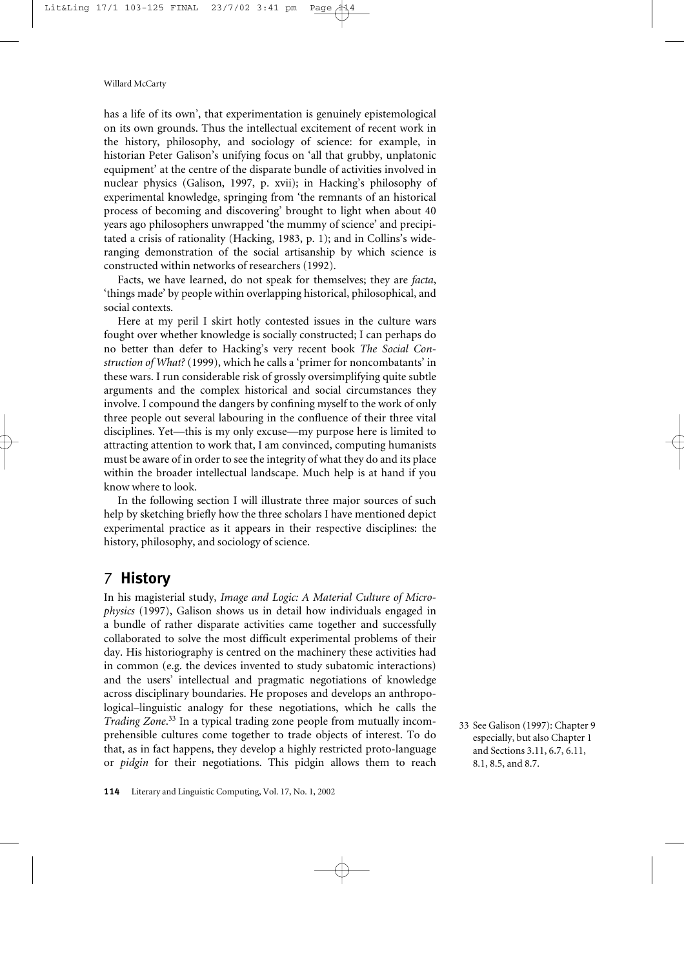has a life of its own', that experimentation is genuinely epistemological on its own grounds. Thus the intellectual excitement of recent work in the history, philosophy, and sociology of science: for example, in historian Peter Galison's unifying focus on 'all that grubby, unplatonic equipment' at the centre of the disparate bundle of activities involved in nuclear physics (Galison, 1997, p. xvii); in Hacking's philosophy of experimental knowledge, springing from 'the remnants of an historical process of becoming and discovering' brought to light when about 40 years ago philosophers unwrapped 'the mummy of science' and precipitated a crisis of rationality (Hacking, 1983, p. 1); and in Collins's wideranging demonstration of the social artisanship by which science is constructed within networks of researchers (1992).

Facts, we have learned, do not speak for themselves; they are *facta*, 'things made' by people within overlapping historical, philosophical, and social contexts.

Here at my peril I skirt hotly contested issues in the culture wars fought over whether knowledge is socially constructed; I can perhaps do no better than defer to Hacking's very recent book *The Social Construction of What?* (1999), which he calls a 'primer for noncombatants' in these wars. I run considerable risk of grossly oversimplifying quite subtle arguments and the complex historical and social circumstances they involve. I compound the dangers by confining myself to the work of only three people out several labouring in the confluence of their three vital disciplines. Yet—this is my only excuse—my purpose here is limited to attracting attention to work that, I am convinced, computing humanists must be aware of in order to see the integrity of what they do and its place within the broader intellectual landscape. Much help is at hand if you know where to look.

In the following section I will illustrate three major sources of such help by sketching briefly how the three scholars I have mentioned depict experimental practice as it appears in their respective disciplines: the history, philosophy, and sociology of science.

# 7 **History**

In his magisterial study, *Image and Logic: A Material Culture of Microphysics* (1997), Galison shows us in detail how individuals engaged in a bundle of rather disparate activities came together and successfully collaborated to solve the most difficult experimental problems of their day. His historiography is centred on the machinery these activities had in common (e.g. the devices invented to study subatomic interactions) and the users' intellectual and pragmatic negotiations of knowledge across disciplinary boundaries. He proposes and develops an anthropological–linguistic analogy for these negotiations, which he calls the *Trading Zone*. <sup>33</sup> In a typical trading zone people from mutually incomprehensible cultures come together to trade objects of interest. To do that, as in fact happens, they develop a highly restricted proto-language or *pidgin* for their negotiations. This pidgin allows them to reach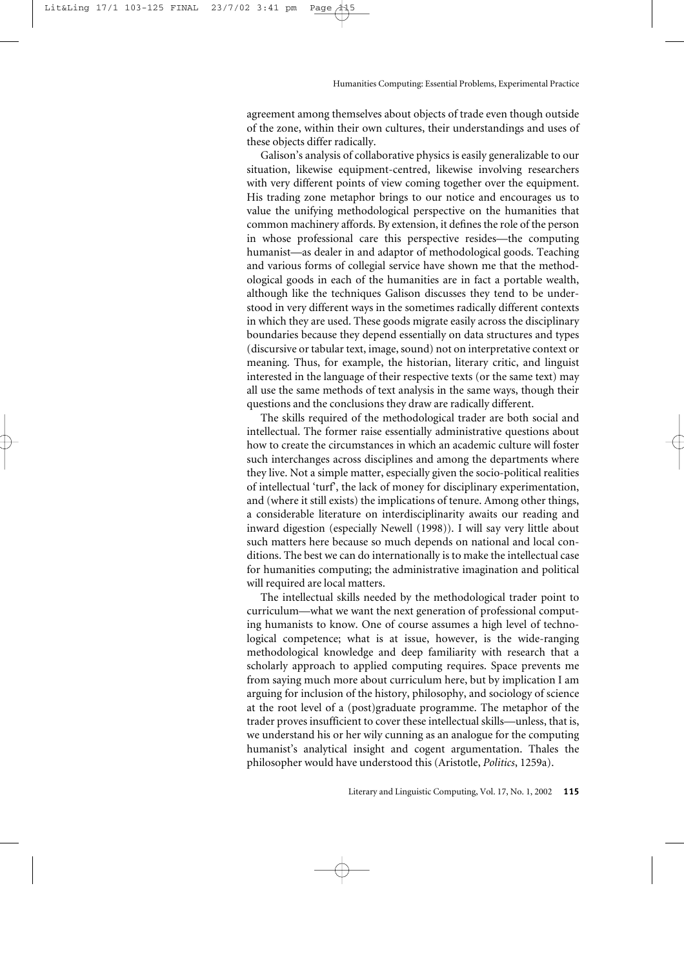agreement among themselves about objects of trade even though outside of the zone, within their own cultures, their understandings and uses of these objects differ radically.

Galison's analysis of collaborative physics is easily generalizable to our situation, likewise equipment-centred, likewise involving researchers with very different points of view coming together over the equipment. His trading zone metaphor brings to our notice and encourages us to value the unifying methodological perspective on the humanities that common machinery affords. By extension, it defines the role of the person in whose professional care this perspective resides—the computing humanist—as dealer in and adaptor of methodological goods. Teaching and various forms of collegial service have shown me that the methodological goods in each of the humanities are in fact a portable wealth, although like the techniques Galison discusses they tend to be understood in very different ways in the sometimes radically different contexts in which they are used. These goods migrate easily across the disciplinary boundaries because they depend essentially on data structures and types (discursive or tabular text, image, sound) not on interpretative context or meaning. Thus, for example, the historian, literary critic, and linguist interested in the language of their respective texts (or the same text) may all use the same methods of text analysis in the same ways, though their questions and the conclusions they draw are radically different.

The skills required of the methodological trader are both social and intellectual. The former raise essentially administrative questions about how to create the circumstances in which an academic culture will foster such interchanges across disciplines and among the departments where they live. Not a simple matter, especially given the socio-political realities of intellectual 'turf', the lack of money for disciplinary experimentation, and (where it still exists) the implications of tenure. Among other things, a considerable literature on interdisciplinarity awaits our reading and inward digestion (especially Newell (1998)). I will say very little about such matters here because so much depends on national and local conditions. The best we can do internationally is to make the intellectual case for humanities computing; the administrative imagination and political will required are local matters.

The intellectual skills needed by the methodological trader point to curriculum—what we want the next generation of professional computing humanists to know. One of course assumes a high level of technological competence; what is at issue, however, is the wide-ranging methodological knowledge and deep familiarity with research that a scholarly approach to applied computing requires. Space prevents me from saying much more about curriculum here, but by implication I am arguing for inclusion of the history, philosophy, and sociology of science at the root level of a (post)graduate programme. The metaphor of the trader proves insufficient to cover these intellectual skills—unless, that is, we understand his or her wily cunning as an analogue for the computing humanist's analytical insight and cogent argumentation. Thales the philosopher would have understood this (Aristotle, *Politics*, 1259a).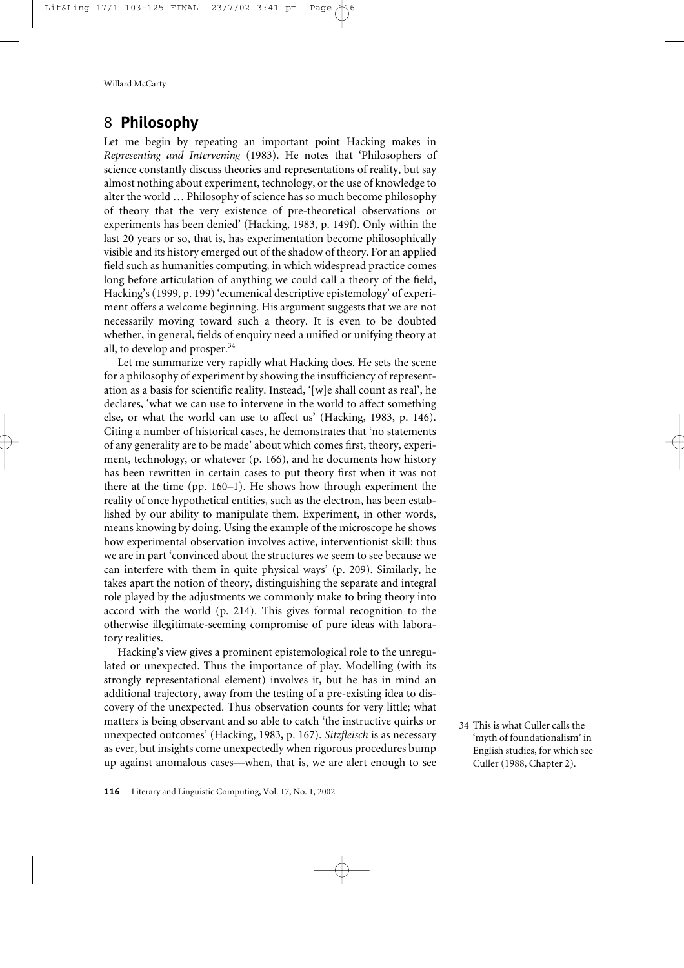# 8 **Philosophy**

Let me begin by repeating an important point Hacking makes in *Representing and Intervening* (1983). He notes that 'Philosophers of science constantly discuss theories and representations of reality, but say almost nothing about experiment, technology, or the use of knowledge to alter the world … Philosophy of science has so much become philosophy of theory that the very existence of pre-theoretical observations or experiments has been denied' (Hacking, 1983, p. 149f). Only within the last 20 years or so, that is, has experimentation become philosophically visible and its history emerged out of the shadow of theory. For an applied field such as humanities computing, in which widespread practice comes long before articulation of anything we could call a theory of the field, Hacking's (1999, p. 199) 'ecumenical descriptive epistemology' of experiment offers a welcome beginning. His argument suggests that we are not necessarily moving toward such a theory. It is even to be doubted whether, in general, fields of enquiry need a unified or unifying theory at all, to develop and prosper.34

Let me summarize very rapidly what Hacking does. He sets the scene for a philosophy of experiment by showing the insufficiency of representation as a basis for scientific reality. Instead, '[w]e shall count as real', he declares, 'what we can use to intervene in the world to affect something else, or what the world can use to affect us' (Hacking, 1983, p. 146). Citing a number of historical cases, he demonstrates that 'no statements of any generality are to be made' about which comes first, theory, experiment, technology, or whatever (p. 166), and he documents how history has been rewritten in certain cases to put theory first when it was not there at the time (pp. 160–1). He shows how through experiment the reality of once hypothetical entities, such as the electron, has been established by our ability to manipulate them. Experiment, in other words, means knowing by doing. Using the example of the microscope he shows how experimental observation involves active, interventionist skill: thus we are in part 'convinced about the structures we seem to see because we can interfere with them in quite physical ways' (p. 209). Similarly, he takes apart the notion of theory, distinguishing the separate and integral role played by the adjustments we commonly make to bring theory into accord with the world (p. 214). This gives formal recognition to the otherwise illegitimate-seeming compromise of pure ideas with laboratory realities.

Hacking's view gives a prominent epistemological role to the unregulated or unexpected. Thus the importance of play. Modelling (with its strongly representational element) involves it, but he has in mind an additional trajectory, away from the testing of a pre-existing idea to discovery of the unexpected. Thus observation counts for very little; what matters is being observant and so able to catch 'the instructive quirks or unexpected outcomes' (Hacking, 1983, p. 167). *Sitzfleisch* is as necessary as ever, but insights come unexpectedly when rigorous procedures bump up against anomalous cases—when, that is, we are alert enough to see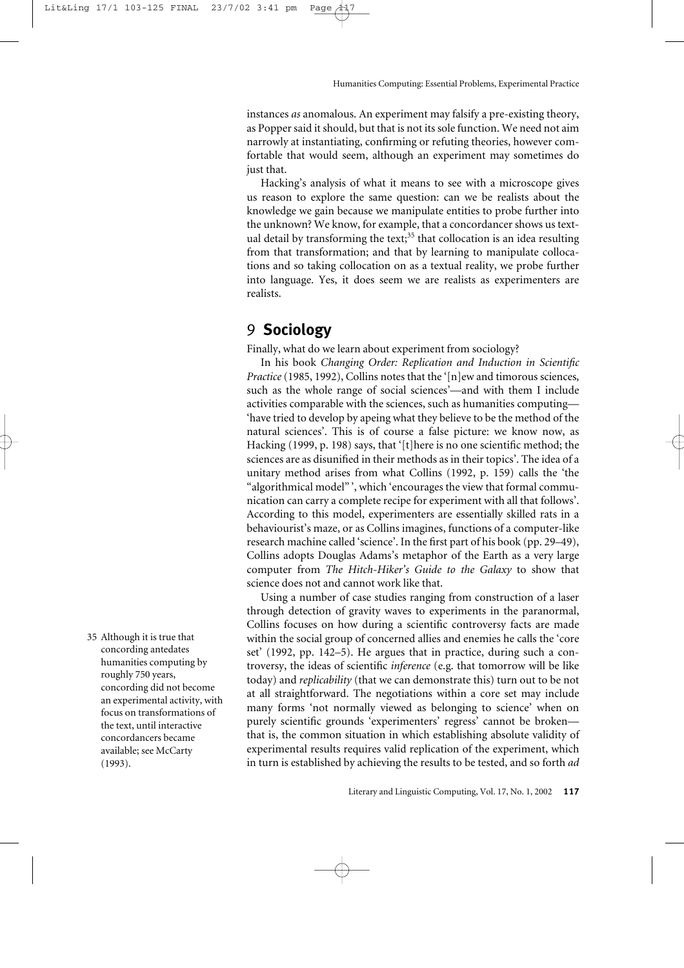instances *as* anomalous. An experiment may falsify a pre-existing theory, as Popper said it should, but that is not its sole function. We need not aim narrowly at instantiating, confirming or refuting theories, however comfortable that would seem, although an experiment may sometimes do just that.

Hacking's analysis of what it means to see with a microscope gives us reason to explore the same question: can we be realists about the knowledge we gain because we manipulate entities to probe further into the unknown? We know, for example, that a concordancer shows us textual detail by transforming the text;<sup>35</sup> that collocation is an idea resulting from that transformation; and that by learning to manipulate collocations and so taking collocation on as a textual reality, we probe further into language. Yes, it does seem we are realists as experimenters are realists.

# 9 **Sociology**

Finally, what do we learn about experiment from sociology?

In his book *Changing Order: Replication and Induction in Scientific Practice* (1985, 1992), Collins notes that the '[n]ew and timorous sciences, such as the whole range of social sciences'—and with them I include activities comparable with the sciences, such as humanities computing— 'have tried to develop by apeing what they believe to be the method of the natural sciences'. This is of course a false picture: we know now, as Hacking (1999, p. 198) says, that '[t]here is no one scientific method; the sciences are as disunified in their methods as in their topics'. The idea of a unitary method arises from what Collins (1992, p. 159) calls the 'the "algorithmical model" ', which 'encourages the view that formal communication can carry a complete recipe for experiment with all that follows'. According to this model, experimenters are essentially skilled rats in a behaviourist's maze, or as Collins imagines, functions of a computer-like research machine called 'science'. In the first part of his book (pp. 29–49), Collins adopts Douglas Adams's metaphor of the Earth as a very large computer from *The Hitch-Hiker's Guide to the Galaxy* to show that science does not and cannot work like that.

Using a number of case studies ranging from construction of a laser through detection of gravity waves to experiments in the paranormal, Collins focuses on how during a scientific controversy facts are made within the social group of concerned allies and enemies he calls the 'core set' (1992, pp. 142–5). He argues that in practice, during such a controversy, the ideas of scientific *inference* (e.g. that tomorrow will be like today) and *replicability* (that we can demonstrate this) turn out to be not at all straightforward. The negotiations within a core set may include many forms 'not normally viewed as belonging to science' when on purely scientific grounds 'experimenters' regress' cannot be broken that is, the common situation in which establishing absolute validity of experimental results requires valid replication of the experiment, which in turn is established by achieving the results to be tested, and so forth *ad*

35 Although it is true that concording antedates humanities computing by roughly 750 years, concording did not become an experimental activity, with focus on transformations of the text, until interactive concordancers became available; see McCarty (1993).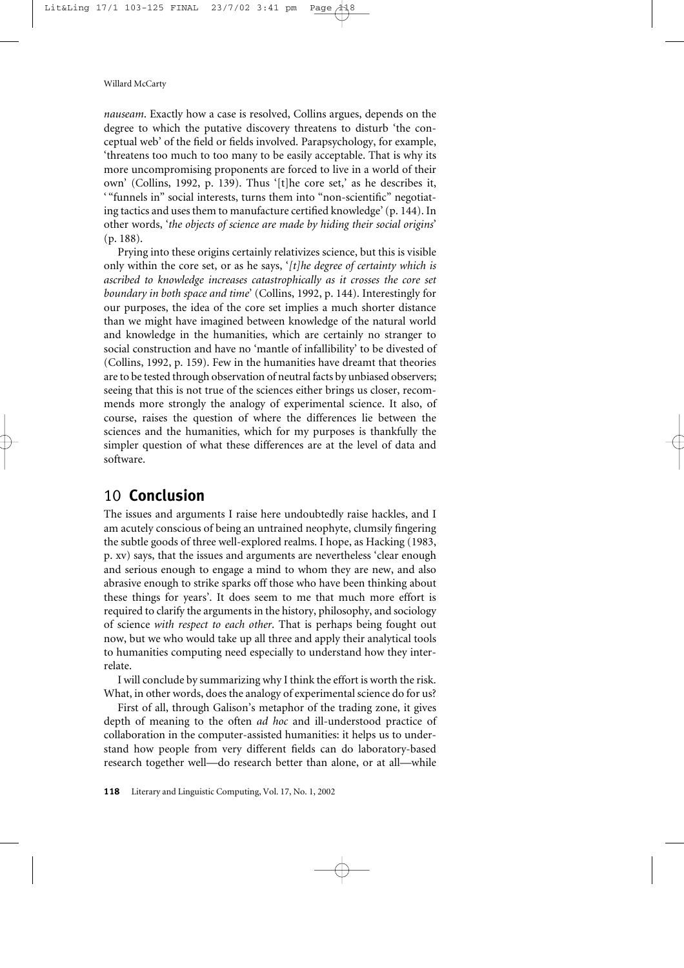*nauseam*. Exactly how a case is resolved, Collins argues, depends on the degree to which the putative discovery threatens to disturb 'the conceptual web' of the field or fields involved. Parapsychology, for example, 'threatens too much to too many to be easily acceptable. That is why its more uncompromising proponents are forced to live in a world of their own' (Collins, 1992, p. 139). Thus '[t]he core set,' as he describes it, ' "funnels in" social interests, turns them into "non-scientific" negotiating tactics and uses them to manufacture certified knowledge' (p. 144). In other words, '*the objects of science are made by hiding their social origins*' (p. 188).

Prying into these origins certainly relativizes science, but this is visible only within the core set, or as he says, '*[t]he degree of certainty which is ascribed to knowledge increases catastrophically as it crosses the core set boundary in both space and time*' (Collins, 1992, p. 144). Interestingly for our purposes, the idea of the core set implies a much shorter distance than we might have imagined between knowledge of the natural world and knowledge in the humanities, which are certainly no stranger to social construction and have no 'mantle of infallibility' to be divested of (Collins, 1992, p. 159). Few in the humanities have dreamt that theories are to be tested through observation of neutral facts by unbiased observers; seeing that this is not true of the sciences either brings us closer, recommends more strongly the analogy of experimental science. It also, of course, raises the question of where the differences lie between the sciences and the humanities, which for my purposes is thankfully the simpler question of what these differences are at the level of data and software.

# 10 **Conclusion**

The issues and arguments I raise here undoubtedly raise hackles, and I am acutely conscious of being an untrained neophyte, clumsily fingering the subtle goods of three well-explored realms. I hope, as Hacking (1983, p. xv) says, that the issues and arguments are nevertheless 'clear enough and serious enough to engage a mind to whom they are new, and also abrasive enough to strike sparks off those who have been thinking about these things for years'. It does seem to me that much more effort is required to clarify the arguments in the history, philosophy, and sociology of science *with respect to each other*. That is perhaps being fought out now, but we who would take up all three and apply their analytical tools to humanities computing need especially to understand how they interrelate.

I will conclude by summarizing why I think the effort is worth the risk. What, in other words, does the analogy of experimental science do for us?

First of all, through Galison's metaphor of the trading zone, it gives depth of meaning to the often *ad hoc* and ill-understood practice of collaboration in the computer-assisted humanities: it helps us to understand how people from very different fields can do laboratory-based research together well—do research better than alone, or at all—while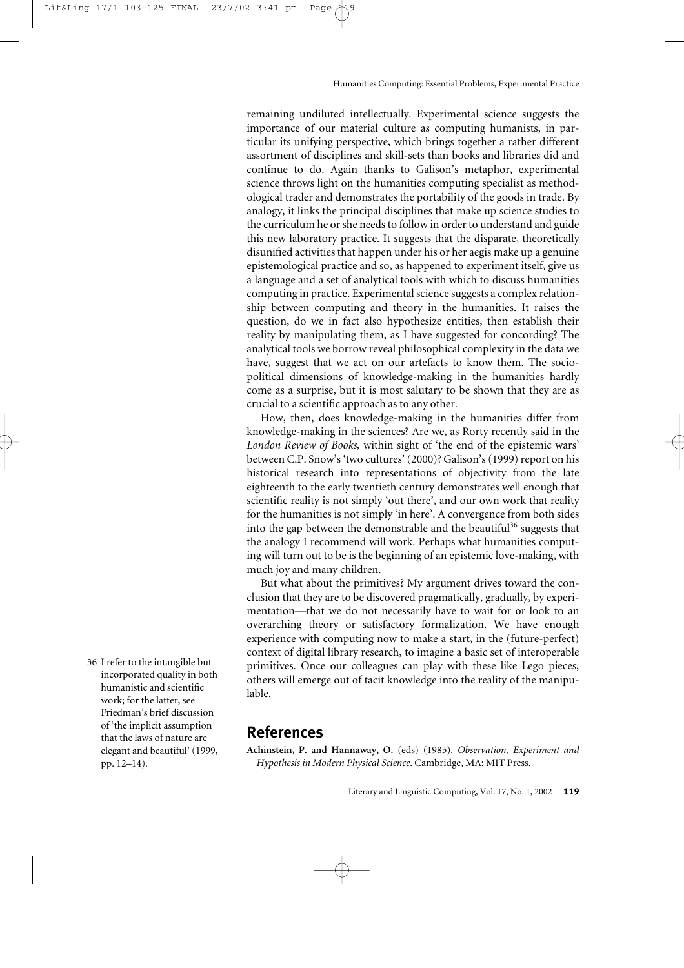remaining undiluted intellectually. Experimental science suggests the importance of our material culture as computing humanists, in particular its unifying perspective, which brings together a rather different assortment of disciplines and skill-sets than books and libraries did and continue to do. Again thanks to Galison's metaphor, experimental science throws light on the humanities computing specialist as methodological trader and demonstrates the portability of the goods in trade. By analogy, it links the principal disciplines that make up science studies to the curriculum he or she needs to follow in order to understand and guide this new laboratory practice. It suggests that the disparate, theoretically disunified activities that happen under his or her aegis make up a genuine epistemological practice and so, as happened to experiment itself, give us a language and a set of analytical tools with which to discuss humanities computing in practice. Experimental science suggests a complex relationship between computing and theory in the humanities. It raises the question, do we in fact also hypothesize entities, then establish their reality by manipulating them, as I have suggested for concording? The analytical tools we borrow reveal philosophical complexity in the data we have, suggest that we act on our artefacts to know them. The sociopolitical dimensions of knowledge-making in the humanities hardly come as a surprise, but it is most salutary to be shown that they are as crucial to a scientific approach as to any other.

How, then, does knowledge-making in the humanities differ from knowledge-making in the sciences? Are we, as Rorty recently said in the *London Review of Books,* within sight of 'the end of the epistemic wars' between C.P. Snow's 'two cultures' (2000)? Galison's (1999) report on his historical research into representations of objectivity from the late eighteenth to the early twentieth century demonstrates well enough that scientific reality is not simply 'out there', and our own work that reality for the humanities is not simply 'in here'. A convergence from both sides into the gap between the demonstrable and the beautiful<sup>36</sup> suggests that the analogy I recommend will work. Perhaps what humanities computing will turn out to be is the beginning of an epistemic love-making, with much joy and many children.

But what about the primitives? My argument drives toward the conclusion that they are to be discovered pragmatically, gradually, by experimentation—that we do not necessarily have to wait for or look to an overarching theory or satisfactory formalization. We have enough experience with computing now to make a start, in the (future-perfect) context of digital library research, to imagine a basic set of interoperable primitives. Once our colleagues can play with these like Lego pieces, others will emerge out of tacit knowledge into the reality of the manipulable.

#### **References**

**Achinstein, P. and Hannaway, O.** (eds) (1985). *Observation, Experiment and Hypothesis in Modern Physical Science*. Cambridge, MA: MIT Press.

36 I refer to the intangible but incorporated quality in both humanistic and scientific work; for the latter, see Friedman's brief discussion of 'the implicit assumption that the laws of nature are elegant and beautiful' (1999, pp. 12–14).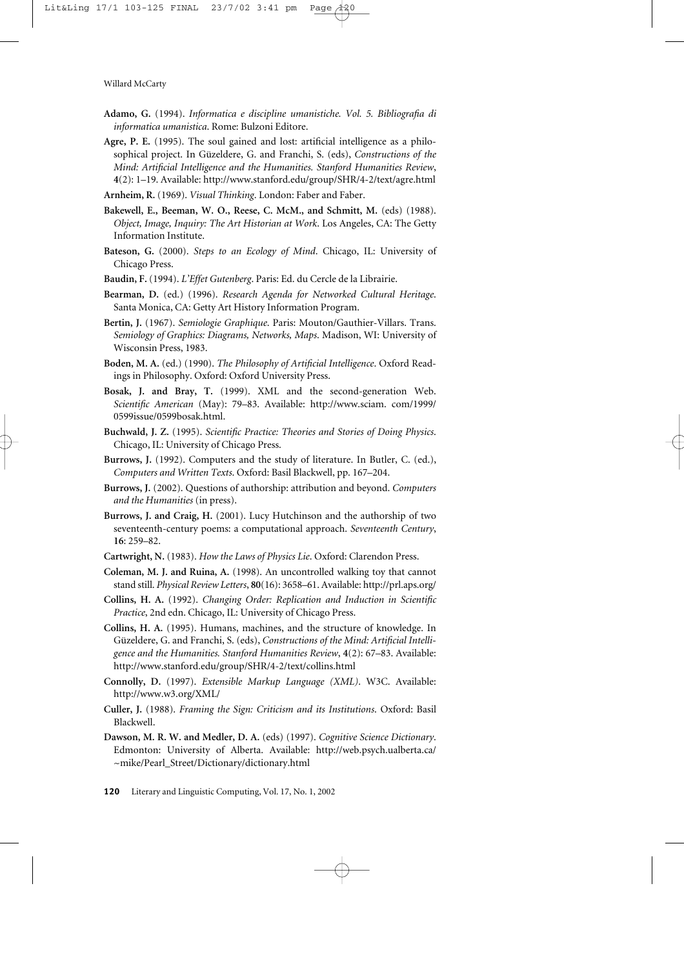- **Adamo, G.** (1994). *Informatica e discipline umanistiche. Vol. 5. Bibliografia di informatica umanistica*. Rome: Bulzoni Editore.
- **Agre, P. E.** (1995). The soul gained and lost: artificial intelligence as a philosophical project. In Güzeldere, G. and Franchi, S. (eds), *Constructions of the Mind: Artificial Intelligence and the Humanities. Stanford Humanities Review*, **4**(2): 1–19. Available:<http://www.stanford.edu/group/SHR/4-2/text/agre.html>
- **Arnheim, R.** (1969). *Visual Thinking*. London: Faber and Faber.
- **Bakewell, E., Beeman, W. O., Reese, C. McM., and Schmitt, M.** (eds) (1988). *Object, Image, Inquiry: The Art Historian at Work*. Los Angeles, CA: The Getty Information Institute.
- **Bateson, G.** (2000). *Steps to an Ecology of Mind*. Chicago, IL: University of Chicago Press.
- **Baudin, F.** (1994). *L'Effet Gutenberg*. Paris: Ed. du Cercle de la Librairie.
- **Bearman, D.** (ed.) (1996). *Research Agenda for Networked Cultural Heritage*. Santa Monica, CA: Getty Art History Information Program.
- **Bertin, J.** (1967). *Semiologie Graphique*. Paris: Mouton/Gauthier-Villars. Trans. *Semiology of Graphics: Diagrams, Networks, Maps*. Madison, WI: University of Wisconsin Press, 1983.
- **Boden, M. A.** (ed.) (1990). *The Philosophy of Artificial Intelligence*. Oxford Readings in Philosophy. Oxford: Oxford University Press.
- **Bosak, J. and Bray, T.** (1999). XML and the second-generation Web. *Scientific American* (May): 79–83. Available: [http://www.sciam.](http://www.sciam) com/1999/ 0599issue/0599bosak.html.
- **Buchwald, J. Z.** (1995). *Scientific Practice: Theories and Stories of Doing Physics*. Chicago, IL: University of Chicago Press.
- **Burrows, J.** (1992). Computers and the study of literature. In Butler, C. (ed.), *Computers and Written Texts*. Oxford: Basil Blackwell, pp. 167–204.
- **Burrows, J.** (2002). Questions of authorship: attribution and beyond. *Computers and the Humanities* (in press).
- **Burrows, J. and Craig, H.** (2001). Lucy Hutchinson and the authorship of two seventeenth-century poems: a computational approach. *Seventeenth Century*, **16**: 259–82.
- **Cartwright, N.** (1983). *How the Laws of Physics Lie*. Oxford: Clarendon Press.
- **Coleman, M. J. and Ruina, A.** (1998). An uncontrolled walking toy that cannot stand still. *Physical Review Letters*, **80**(16): 3658–61. Available:<http://prl.aps.org/>
- **Collins, H. A.** (1992). *Changing Order: Replication and Induction in Scientific Practice*, 2nd edn. Chicago, IL: University of Chicago Press.
- **Collins, H. A.** (1995). Humans, machines, and the structure of knowledge. In Güzeldere, G. and Franchi, S. (eds), *Constructions of the Mind: Artificial Intelligence and the Humanities. Stanford Humanities Review*, **4**(2): 67–83. Available: <http://www.stanford.edu/group/SHR/4-2/text/collins.html>
- **Connolly, D.** (1997). *Extensible Markup Language (XML)*. W3C. Available: <http://www.w3.org/XML/>
- **Culler, J.** (1988). *Framing the Sign: Criticism and its Institutions*. Oxford: Basil Blackwell.
- **Dawson, M. R. W. and Medler, D. A.** (eds) (1997). *Cognitive Science Dictionary*. Edmonton: University of Alberta. Available: <http://web.psych.ualberta.ca/> ~mike/Pearl\_Street/Dictionary/dictionary.html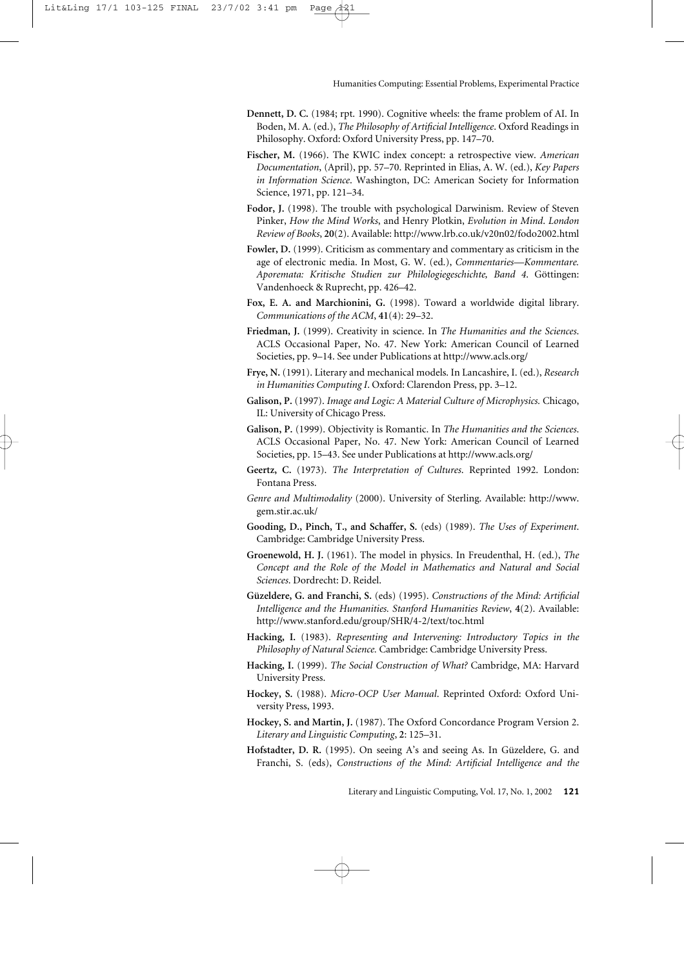- **Dennett, D. C.** (1984; rpt. 1990). Cognitive wheels: the frame problem of AI. In Boden, M. A. (ed.), *The Philosophy of Artificial Intelligence*. Oxford Readings in Philosophy. Oxford: Oxford University Press, pp. 147–70.
- **Fischer, M.** (1966). The KWIC index concept: a retrospective view. *American Documentation*, (April), pp. 57–70. Reprinted in Elias, A. W. (ed.), *Key Papers in Information Science*. Washington, DC: American Society for Information Science, 1971, pp. 121–34.
- **Fodor, J.** (1998). The trouble with psychological Darwinism. Review of Steven Pinker, *How the Mind Works*, and Henry Plotkin, *Evolution in Mind*. *London Review of Books*, **20**(2). Available:<http://www.lrb.co.uk/v20n02/fodo2002.html>
- **Fowler, D.** (1999). Criticism as commentary and commentary as criticism in the age of electronic media. In Most, G. W. (ed.), *Commentaries—Kommentare. Aporemata: Kritische Studien zur Philologiegeschichte, Band 4*. Göttingen: Vandenhoeck & Ruprecht, pp. 426–42.
- **Fox, E. A. and Marchionini, G.** (1998). Toward a worldwide digital library. *Communications of the ACM*, **41**(4): 29–32.
- **Friedman, J.** (1999). Creativity in science. In *The Humanities and the Sciences*. ACLS Occasional Paper, No. 47. New York: American Council of Learned Societies, pp. 9–14. See under Publications at <http://www.acls.org/>
- **Frye, N.** (1991). Literary and mechanical models. In Lancashire, I. (ed.), *Research in Humanities Computing I*. Oxford: Clarendon Press, pp. 3–12.
- **Galison, P.** (1997). *Image and Logic: A Material Culture of Microphysics.* Chicago, IL: University of Chicago Press.
- **Galison, P.** (1999). Objectivity is Romantic. In *The Humanities and the Sciences*. ACLS Occasional Paper, No. 47. New York: American Council of Learned Societies, pp. 15–43. See under Publications at<http://www.acls.org/>
- **Geertz, C.** (1973). *The Interpretation of Cultures*. Reprinted 1992. London: Fontana Press.
- *Genre and Multimodality* (2000). University of Sterling. Available: [http://www.](http://www) gem.stir.ac.uk/
- **Gooding, D., Pinch, T., and Schaffer, S.** (eds) (1989). *The Uses of Experiment*. Cambridge: Cambridge University Press.
- **Groenewold, H. J.** (1961). The model in physics. In Freudenthal, H. (ed.), *The Concept and the Role of the Model in Mathematics and Natural and Social Sciences*. Dordrecht: D. Reidel.
- **Güzeldere, G. and Franchi, S.** (eds) (1995). *Constructions of the Mind: Artificial Intelligence and the Humanities. Stanford Humanities Review*, **4**(2). Available: <http://www.stanford.edu/group/SHR/4-2/text/toc.html>
- **Hacking, I.** (1983). *Representing and Intervening: Introductory Topics in the Philosophy of Natural Science.* Cambridge: Cambridge University Press.
- **Hacking, I.** (1999). *The Social Construction of What?* Cambridge, MA: Harvard University Press.
- **Hockey, S.** (1988). *Micro-OCP User Manual*. Reprinted Oxford: Oxford University Press, 1993.
- **Hockey, S. and Martin, J.** (1987). The Oxford Concordance Program Version 2. *Literary and Linguistic Computing*, **2**: 125–31.
- **Hofstadter, D. R.** (1995). On seeing A's and seeing As. In Güzeldere, G. and Franchi, S. (eds), *Constructions of the Mind: Artificial Intelligence and the*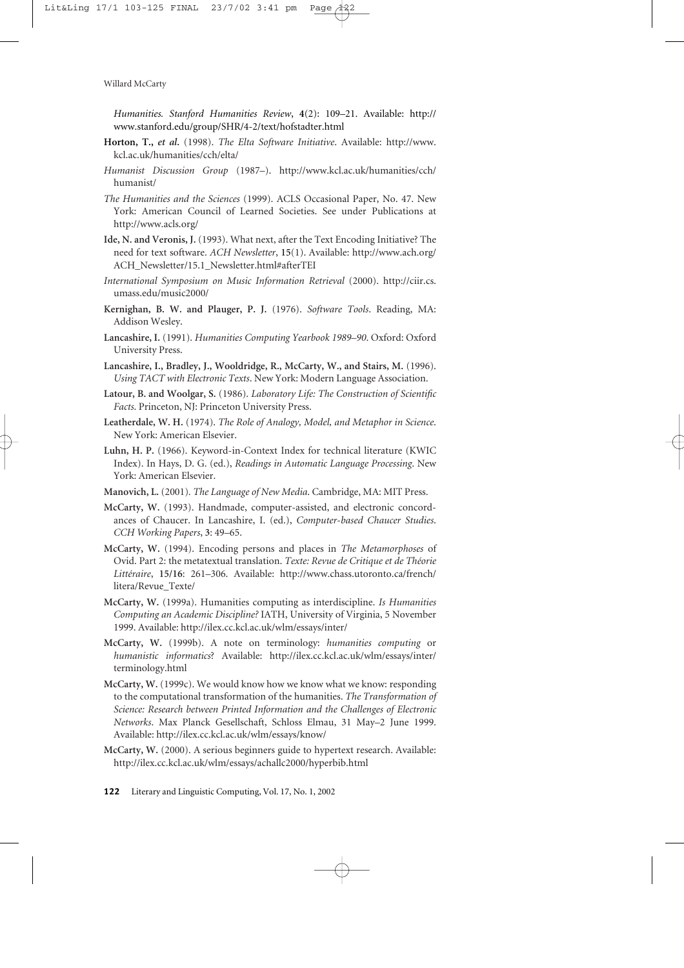*Humanities. Stanford Humanities Review*, **4**(2): 109–21. Available: <http://> www.stanford.edu/group/SHR/4-2/text/hofstadter.html

- **Horton, T.,** *et al***.** (1998). *The Elta Software Initiative*. Available: [http://www.](http://www) kcl.ac.uk/humanities/cch/elta/
- *Humanist Discussion Group* (1987–). <http://www.kcl.ac.uk/humanities/cch/> humanist/
- *The Humanities and the Sciences* (1999). ACLS Occasional Paper, No. 47. New York: American Council of Learned Societies. See under Publications at <http://www.acls.org/>
- **Ide, N. and Veronis, J.** (1993). What next, after the Text Encoding Initiative? The need for text software. *ACH Newsletter*, **15**(1). Available: <http://www.ach.org/> ACH\_Newsletter/15.1\_Newsletter.html#afterTEI
- *International Symposium on Music Information Retrieval* (2000). [http://ciir.cs.](http://ciir.cs) umass.edu/music2000/
- **Kernighan, B. W. and Plauger, P. J.** (1976). *Software Tools*. Reading, MA: Addison Wesley.
- **Lancashire, I.** (1991). *Humanities Computing Yearbook 1989–90*. Oxford: Oxford University Press.
- **Lancashire, I., Bradley, J., Wooldridge, R., McCarty, W., and Stairs, M.** (1996). *Using TACT with Electronic Texts*. New York: Modern Language Association.
- **Latour, B. and Woolgar, S.** (1986). *Laboratory Life: The Construction of Scientific Facts*. Princeton, NJ: Princeton University Press.
- **Leatherdale, W. H.** (1974). *The Role of Analogy, Model, and Metaphor in Science*. New York: American Elsevier.
- **Luhn, H. P.** (1966). Keyword-in-Context Index for technical literature (KWIC Index). In Hays, D. G. (ed.), *Readings in Automatic Language Processing*. New York: American Elsevier.
- **Manovich, L.** (2001)*. The Language of New Media*. Cambridge, MA: MIT Press.
- **McCarty, W.** (1993). Handmade, computer-assisted, and electronic concordances of Chaucer. In Lancashire, I. (ed.), *Computer-based Chaucer Studies*. *CCH Working Papers*, **3**: 49–65.
- **McCarty, W.** (1994). Encoding persons and places in *The Metamorphoses* of Ovid. Part 2: the metatextual translation. *Texte: Revue de Critique et de Théorie Littéraire*, **15/16**: 261–306. Available: <http://www.chass.utoronto.ca/french/> litera/Revue\_Texte/
- **McCarty, W.** (1999a). Humanities computing as interdiscipline. *Is Humanities Computing an Academic Discipline?* IATH, University of Virginia, 5 November 1999. Available: <http://ilex.cc.kcl.ac.uk/wlm/essays/inter/>
- **McCarty, W.** (1999b). A note on terminology: *humanities computing* or *humanistic informatics*? Available: <http://ilex.cc.kcl.ac.uk/wlm/essays/inter/> terminology.html
- **McCarty, W.** (1999c). We would know how we know what we know: responding to the computational transformation of the humanities. *The Transformation of Science: Research between Printed Information and the Challenges of Electronic Networks*. Max Planck Gesellschaft, Schloss Elmau, 31 May–2 June 1999. Available:<http://ilex.cc.kcl.ac.uk/wlm/essays/know/>
- **McCarty, W.** (2000). A serious beginners guide to hypertext research. Available: <http://ilex.cc.kcl.ac.uk/wlm/essays/achallc2000/hyperbib.html>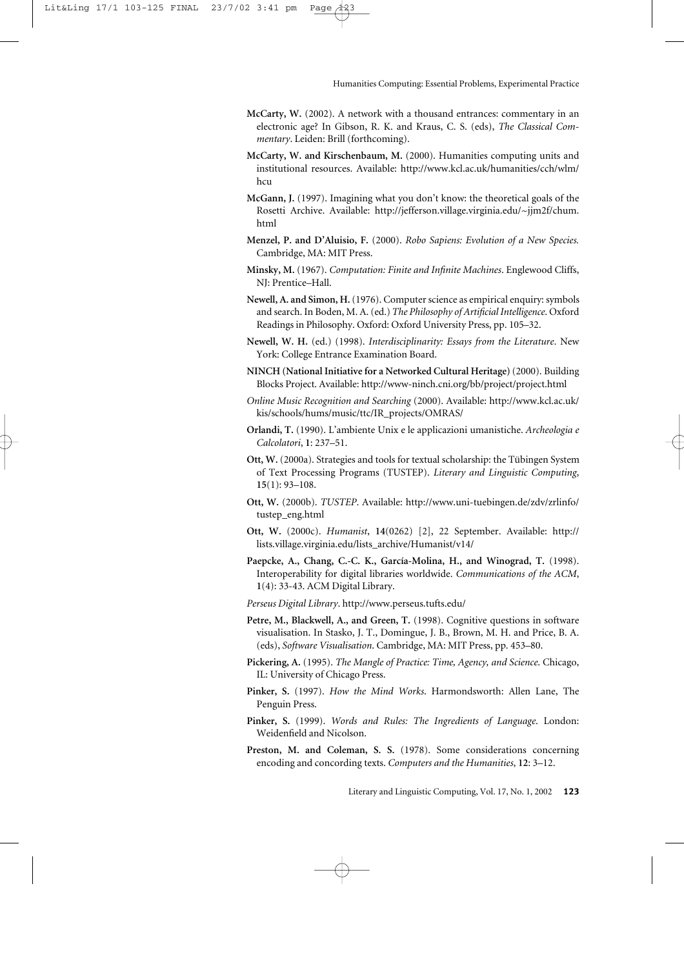- **McCarty, W.** (2002). A network with a thousand entrances: commentary in an electronic age? In Gibson, R. K. and Kraus, C. S. (eds), *The Classical Commentary*. Leiden: Brill (forthcoming).
- **McCarty, W. and Kirschenbaum, M.** (2000). Humanities computing units and institutional resources. Available: <http://www.kcl.ac.uk/humanities/cch/wlm/> hcu
- **McGann, J.** (1997). Imagining what you don't know: the theoretical goals of the Rosetti Archive. Available: [http://jefferson.village.virginia.edu/~jjm2f/chum.](http://jefferson.village.virginia.edu/~jjm2f/chum) html
- **Menzel, P. and D'Aluisio, F.** (2000). *Robo Sapiens: Evolution of a New Species.* Cambridge, MA: MIT Press.
- **Minsky, M.** (1967). *Computation: Finite and Infinite Machines*. Englewood Cliffs, NJ: Prentice–Hall.
- **Newell, A. and Simon, H.**(1976). Computer science as empirical enquiry: symbols and search. In Boden, M. A. (ed.) *The Philosophy of Artificial Intelligence*. Oxford Readings in Philosophy. Oxford: Oxford University Press, pp. 105–32.
- **Newell, W. H.** (ed.) (1998). *Interdisciplinarity: Essays from the Literature*. New York: College Entrance Examination Board.
- **NINCH (National Initiative for a Networked Cultural Heritage)**(2000). Building Blocks Project. Available:<http://www-ninch.cni.org/bb/project/project.html>
- *Online Music Recognition and Searching* (2000). Available: <http://www.kcl.ac.uk/> kis/schools/hums/music/ttc/IR\_projects/OMRAS/
- **Orlandi, T.** (1990). L'ambiente Unix e le applicazioni umanistiche. *Archeologia e Calcolatori*, **1**: 237–51.
- **Ott, W.** (2000a). Strategies and tools for textual scholarship: the Tübingen System of Text Processing Programs (TUSTEP). *Literary and Linguistic Computing*, **15**(1): 93–108.
- **Ott, W.** (2000b). *TUSTEP*. Available: <http://www.uni-tuebingen.de/zdv/zrlinfo/> tustep\_eng.html
- **Ott, W.** (2000c). *Humanist*, **14**(0262) [2], 22 September. Available: <http://> lists.village.virginia.edu/lists\_archive/Humanist/v14/
- **Paepcke, A., Chang, C.-C. K., García-Molina, H., and Winograd, T.** (1998). Interoperability for digital libraries worldwide. *Communications of the ACM*, **1**(4): 33-43. ACM Digital Library.
- *Perseus Digital Library*.<http://www.perseus.tufts.edu/>
- **Petre, M., Blackwell, A., and Green, T.** (1998). Cognitive questions in software visualisation. In Stasko, J. T., Domingue, J. B., Brown, M. H. and Price, B. A. (eds), *Software Visualisation*. Cambridge, MA: MIT Press, pp. 453–80.
- **Pickering, A.** (1995). *The Mangle of Practice: Time, Agency, and Science*. Chicago, IL: University of Chicago Press.
- **Pinker, S.** (1997). *How the Mind Works*. Harmondsworth: Allen Lane, The Penguin Press.
- **Pinker, S.** (1999). *Words and Rules: The Ingredients of Language*. London: Weidenfield and Nicolson.
- Preston, M. and Coleman, S. S. (1978). Some considerations concerning encoding and concording texts. *Computers and the Humanities*, **12**: 3–12.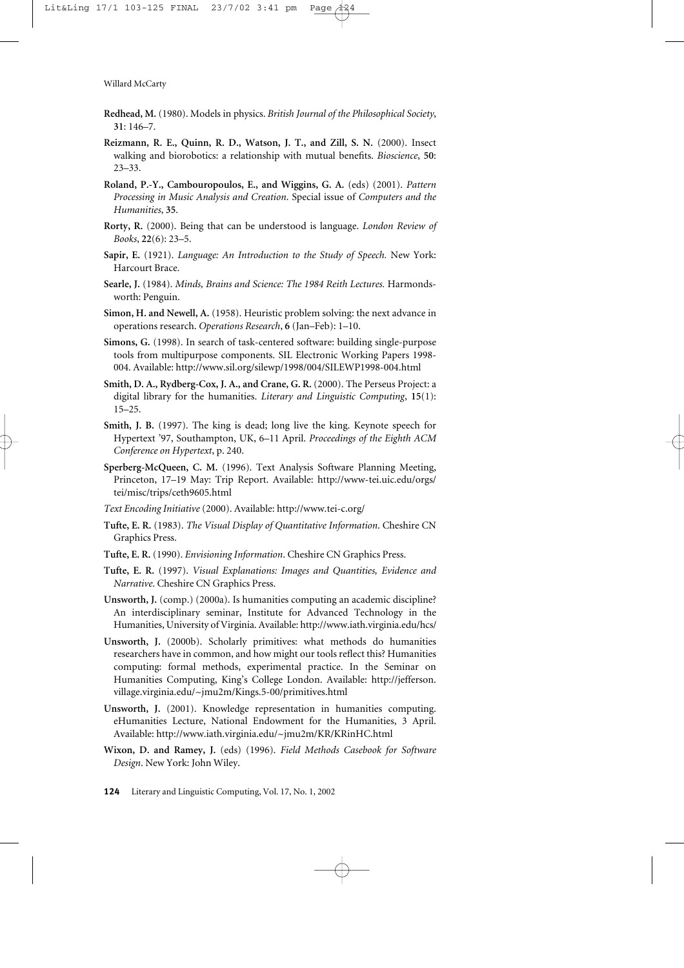- **Redhead, M.** (1980). Models in physics. *British Journal of the Philosophical Society*, **31**: 146–7.
- **Reizmann, R. E., Quinn, R. D., Watson, J. T., and Zill, S. N.** (2000). Insect walking and biorobotics: a relationship with mutual benefits. *Bioscience*, **50**: 23–33.
- **Roland, P.-Y., Cambouropoulos, E., and Wiggins, G. A.** (eds) (2001). *Pattern Processing in Music Analysis and Creation*. Special issue of *Computers and the Humanities*, **35**.
- **Rorty, R.** (2000). Being that can be understood is language. *London Review of Books*, **22**(6): 23–5.
- **Sapir, E.** (1921). *Language: An Introduction to the Study of Speech.* New York: Harcourt Brace.
- **Searle, J.** (1984). *Minds, Brains and Science: The 1984 Reith Lectures.* Harmondsworth: Penguin.
- **Simon, H. and Newell, A.** (1958). Heuristic problem solving: the next advance in operations research. *Operations Research*, **6** (Jan–Feb): 1–10.
- **Simons, G.** (1998). In search of task-centered software: building single-purpose tools from multipurpose components. SIL Electronic Working Papers 1998- 004. Available:<http://www.sil.org/silewp/1998/004/SILEWP1998-004.html>
- **Smith, D. A., Rydberg-Cox, J. A., and Crane, G. R.** (2000). The Perseus Project: a digital library for the humanities. *Literary and Linguistic Computing*, **15**(1): 15–25.
- **Smith, J. B.** (1997). The king is dead; long live the king. Keynote speech for Hypertext '97, Southampton, UK, 6–11 April. *Proceedings of the Eighth ACM Conference on Hypertext*, p. 240.
- **Sperberg-McQueen, C. M.** (1996). Text Analysis Software Planning Meeting, Princeton, 17–19 May: Trip Report. Available: <http://www-tei.uic.edu/orgs/> tei/misc/trips/ceth9605.html
- *Text Encoding Initiative* (2000). Available:<http://www.tei-c.org/>
- **Tufte, E. R.** (1983). *The Visual Display of Quantitative Information*. Cheshire CN Graphics Press.
- **Tufte, E. R.** (1990). *Envisioning Information*. Cheshire CN Graphics Press.
- **Tufte, E. R.** (1997). *Visual Explanations: Images and Quantities, Evidence and Narrative*. Cheshire CN Graphics Press.
- **Unsworth, J.** (comp.) (2000a). Is humanities computing an academic discipline? An interdisciplinary seminar, Institute for Advanced Technology in the Humanities, University of Virginia. Available:<http://www.iath.virginia.edu/hcs/>
- **Unsworth, J.** (2000b). Scholarly primitives: what methods do humanities researchers have in common, and how might our tools reflect this? Humanities computing: formal methods, experimental practice. In the Seminar on Humanities Computing, King's College London. Available: [http://jefferson.](http://jefferson) village.virginia.edu/~jmu2m/Kings.5-00/primitives.html
- **Unsworth, J.** (2001). Knowledge representation in humanities computing. eHumanities Lecture, National Endowment for the Humanities, 3 April. Available:<http://www.iath.virginia.edu/~jmu2m/KR/KRinHC.html>
- **Wixon, D. and Ramey, J.** (eds) (1996). *Field Methods Casebook for Software Design*. New York: John Wiley.